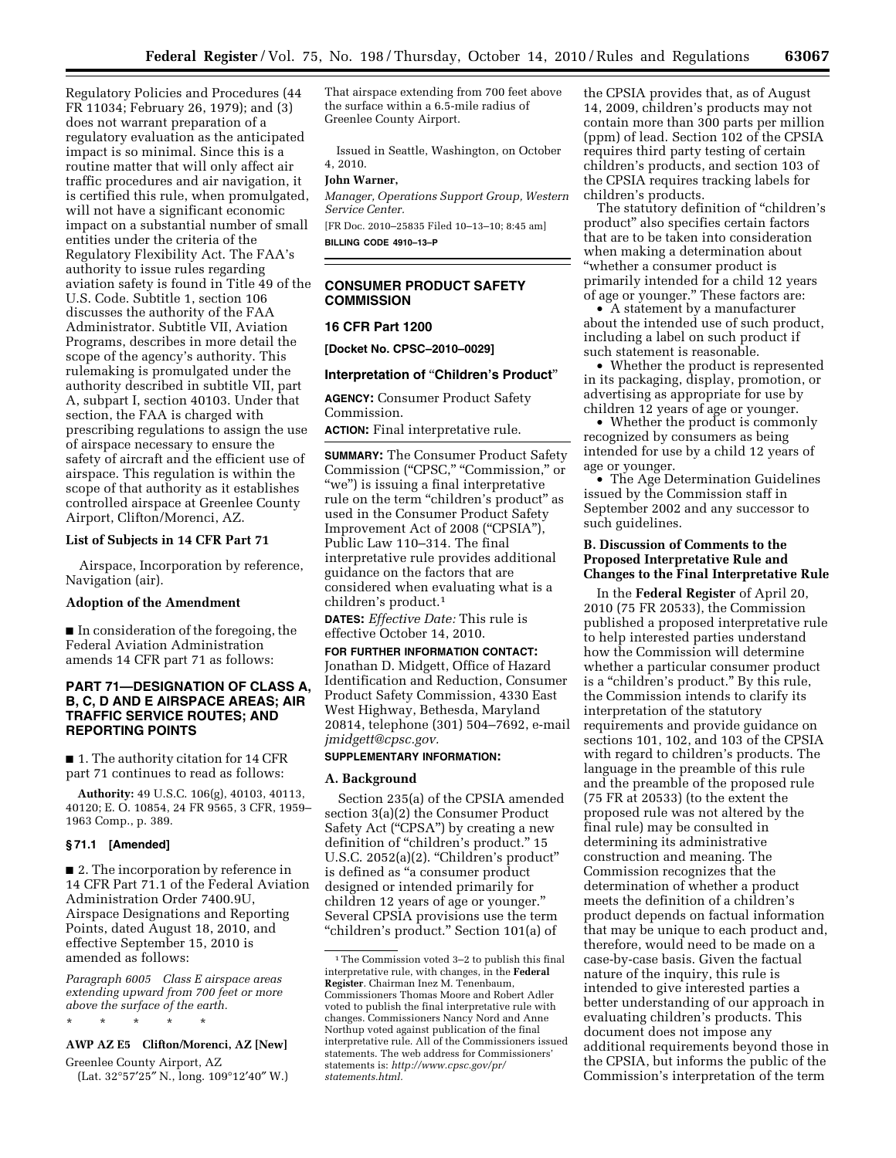Regulatory Policies and Procedures (44 FR 11034; February 26, 1979); and (3) does not warrant preparation of a regulatory evaluation as the anticipated impact is so minimal. Since this is a routine matter that will only affect air traffic procedures and air navigation, it is certified this rule, when promulgated, will not have a significant economic impact on a substantial number of small entities under the criteria of the Regulatory Flexibility Act. The FAA's authority to issue rules regarding aviation safety is found in Title 49 of the U.S. Code. Subtitle 1, section 106 discusses the authority of the FAA Administrator. Subtitle VII, Aviation Programs, describes in more detail the scope of the agency's authority. This rulemaking is promulgated under the authority described in subtitle VII, part A, subpart I, section 40103. Under that section, the FAA is charged with prescribing regulations to assign the use of airspace necessary to ensure the safety of aircraft and the efficient use of airspace. This regulation is within the scope of that authority as it establishes controlled airspace at Greenlee County Airport, Clifton/Morenci, AZ.

# **List of Subjects in 14 CFR Part 71**

Airspace, Incorporation by reference, Navigation (air).

#### **Adoption of the Amendment**

■ In consideration of the foregoing, the Federal Aviation Administration amends 14 CFR part 71 as follows:

### **PART 71—DESIGNATION OF CLASS A, B, C, D AND E AIRSPACE AREAS; AIR TRAFFIC SERVICE ROUTES; AND REPORTING POINTS**

■ 1. The authority citation for 14 CFR part 71 continues to read as follows:

**Authority:** 49 U.S.C. 106(g), 40103, 40113, 40120; E. O. 10854, 24 FR 9565, 3 CFR, 1959– 1963 Comp., p. 389.

### **§ 71.1 [Amended]**

■ 2. The incorporation by reference in 14 CFR Part 71.1 of the Federal Aviation Administration Order 7400.9U, Airspace Designations and Reporting Points, dated August 18, 2010, and effective September 15, 2010 is amended as follows:

*Paragraph 6005 Class E airspace areas extending upward from 700 feet or more above the surface of the earth.* 

#### \* \* \* \* \*

# **AWP AZ E5 Clifton/Morenci, AZ [New]**

Greenlee County Airport, AZ (Lat. 32°57′25″ N., long. 109°12′40″ W.) That airspace extending from 700 feet above the surface within a 6.5-mile radius of Greenlee County Airport.

Issued in Seattle, Washington, on October 4, 2010.

#### **John Warner,**

*Manager, Operations Support Group, Western Service Center.* 

[FR Doc. 2010–25835 Filed 10–13–10; 8:45 am]

**BILLING CODE 4910–13–P** 

# **CONSUMER PRODUCT SAFETY COMMISSION**

#### **16 CFR Part 1200**

**[Docket No. CPSC–2010–0029]** 

#### **Interpretation of** ''**Children's Product**''

**AGENCY:** Consumer Product Safety Commission.

**ACTION:** Final interpretative rule.

**SUMMARY:** The Consumer Product Safety Commission (''CPSC,'' ''Commission,'' or ''we'') is issuing a final interpretative rule on the term "children's product" as used in the Consumer Product Safety Improvement Act of 2008 (''CPSIA''), Public Law 110–314. The final interpretative rule provides additional guidance on the factors that are considered when evaluating what is a children's product.1

**DATES:** *Effective Date:* This rule is effective October 14, 2010.

**FOR FURTHER INFORMATION CONTACT:**  Jonathan D. Midgett, Office of Hazard Identification and Reduction, Consumer Product Safety Commission, 4330 East West Highway, Bethesda, Maryland 20814, telephone (301) 504–7692, e-mail *jmidgett@cpsc.gov.* 

### **SUPPLEMENTARY INFORMATION:**

#### **A. Background**

Section 235(a) of the CPSIA amended section 3(a)(2) the Consumer Product Safety Act ("CPSA") by creating a new definition of "children's product." 15 U.S.C. 2052(a)(2). ''Children's product'' is defined as ''a consumer product designed or intended primarily for children 12 years of age or younger.'' Several CPSIA provisions use the term ''children's product.'' Section 101(a) of

the CPSIA provides that, as of August 14, 2009, children's products may not contain more than 300 parts per million (ppm) of lead. Section 102 of the CPSIA requires third party testing of certain children's products, and section 103 of the CPSIA requires tracking labels for children's products.

The statutory definition of ''children's product'' also specifies certain factors that are to be taken into consideration when making a determination about ''whether a consumer product is primarily intended for a child 12 years of age or younger.'' These factors are:

• A statement by a manufacturer about the intended use of such product, including a label on such product if such statement is reasonable.

• Whether the product is represented in its packaging, display, promotion, or advertising as appropriate for use by children 12 years of age or younger.

• Whether the product is commonly recognized by consumers as being intended for use by a child 12 years of age or younger.

• The Age Determination Guidelines issued by the Commission staff in September 2002 and any successor to such guidelines.

## **B. Discussion of Comments to the Proposed Interpretative Rule and Changes to the Final Interpretative Rule**

In the **Federal Register** of April 20, 2010 (75 FR 20533), the Commission published a proposed interpretative rule to help interested parties understand how the Commission will determine whether a particular consumer product is a "children's product." By this rule, the Commission intends to clarify its interpretation of the statutory requirements and provide guidance on sections 101, 102, and 103 of the CPSIA with regard to children's products. The language in the preamble of this rule and the preamble of the proposed rule (75 FR at 20533) (to the extent the proposed rule was not altered by the final rule) may be consulted in determining its administrative construction and meaning. The Commission recognizes that the determination of whether a product meets the definition of a children's product depends on factual information that may be unique to each product and, therefore, would need to be made on a case-by-case basis. Given the factual nature of the inquiry, this rule is intended to give interested parties a better understanding of our approach in evaluating children's products. This document does not impose any additional requirements beyond those in the CPSIA, but informs the public of the Commission's interpretation of the term

<sup>1</sup>The Commission voted 3–2 to publish this final interpretative rule, with changes, in the **Federal Register**. Chairman Inez M. Tenenbaum, Commissioners Thomas Moore and Robert Adler voted to publish the final interpretative rule with changes. Commissioners Nancy Nord and Anne Northup voted against publication of the final interpretative rule. All of the Commissioners issued statements. The web address for Commissioners' statements is: *http://www.cpsc.gov/pr/ statements.html.*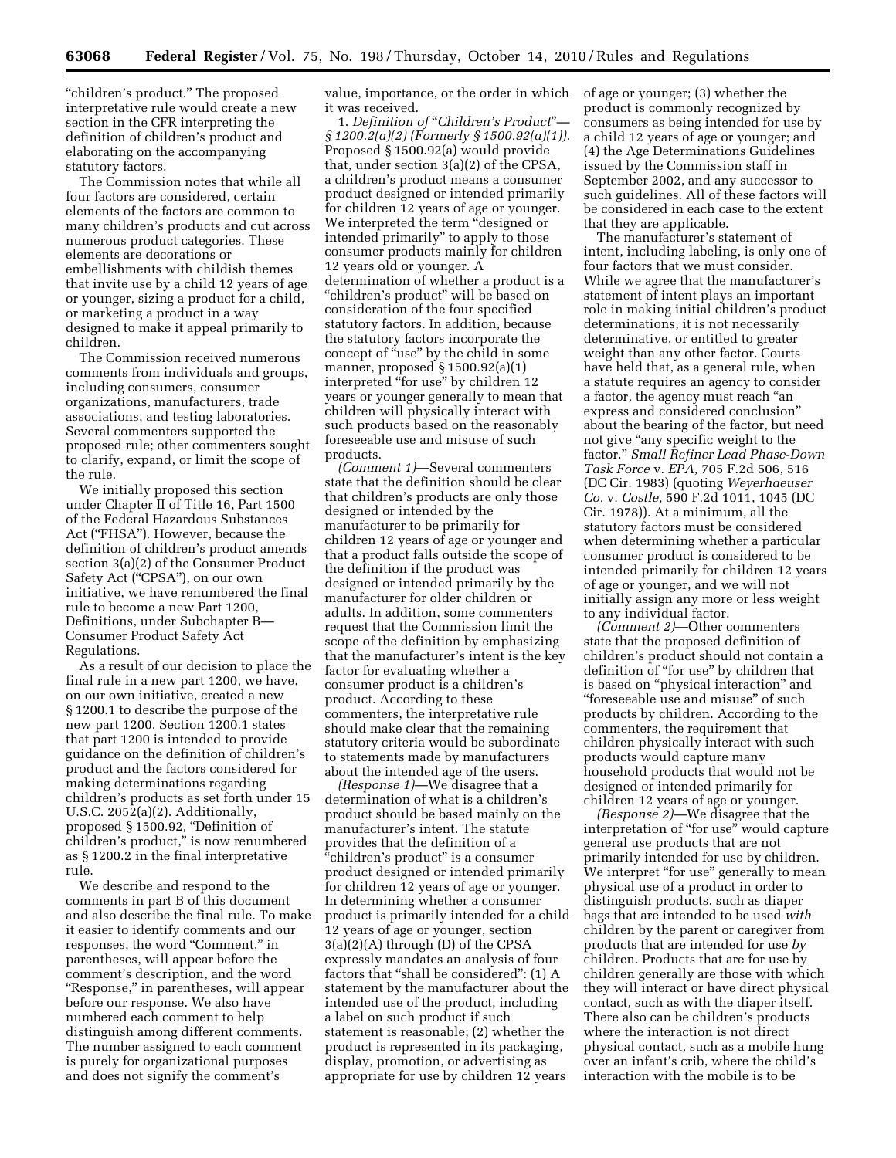"children's product." The proposed interpretative rule would create a new section in the CFR interpreting the definition of children's product and elaborating on the accompanying statutory factors.

The Commission notes that while all four factors are considered, certain elements of the factors are common to many children's products and cut across numerous product categories. These elements are decorations or embellishments with childish themes that invite use by a child 12 years of age or younger, sizing a product for a child, or marketing a product in a way designed to make it appeal primarily to children.

The Commission received numerous comments from individuals and groups, including consumers, consumer organizations, manufacturers, trade associations, and testing laboratories. Several commenters supported the proposed rule; other commenters sought to clarify, expand, or limit the scope of the rule.

We initially proposed this section under Chapter II of Title 16, Part 1500 of the Federal Hazardous Substances Act (''FHSA''). However, because the definition of children's product amends section 3(a)(2) of the Consumer Product Safety Act ("CPSA"), on our own initiative, we have renumbered the final rule to become a new Part 1200, Definitions, under Subchapter B— Consumer Product Safety Act Regulations.

As a result of our decision to place the final rule in a new part 1200, we have, on our own initiative, created a new § 1200.1 to describe the purpose of the new part 1200. Section 1200.1 states that part 1200 is intended to provide guidance on the definition of children's product and the factors considered for making determinations regarding children's products as set forth under 15 U.S.C. 2052(a)(2). Additionally, proposed § 1500.92, ''Definition of children's product,'' is now renumbered as § 1200.2 in the final interpretative rule.

We describe and respond to the comments in part B of this document and also describe the final rule. To make it easier to identify comments and our responses, the word "Comment," in parentheses, will appear before the comment's description, and the word "Response," in parentheses, will appear before our response. We also have numbered each comment to help distinguish among different comments. The number assigned to each comment is purely for organizational purposes and does not signify the comment's

value, importance, or the order in which it was received.

1. *Definition of* ''*Children's Product*''*— § 1200.2(a)(2) (Formerly § 1500.92(a)(1)).*  Proposed § 1500.92(a) would provide that, under section 3(a)(2) of the CPSA, a children's product means a consumer product designed or intended primarily for children 12 years of age or younger. We interpreted the term "designed or intended primarily'' to apply to those consumer products mainly for children 12 years old or younger. A determination of whether a product is a "children's product" will be based on consideration of the four specified statutory factors. In addition, because the statutory factors incorporate the concept of "use" by the child in some manner, proposed § 1500.92(a)(1) interpreted ''for use'' by children 12 years or younger generally to mean that children will physically interact with such products based on the reasonably foreseeable use and misuse of such products.

*(Comment 1)*—Several commenters state that the definition should be clear that children's products are only those designed or intended by the manufacturer to be primarily for children 12 years of age or younger and that a product falls outside the scope of the definition if the product was designed or intended primarily by the manufacturer for older children or adults. In addition, some commenters request that the Commission limit the scope of the definition by emphasizing that the manufacturer's intent is the key factor for evaluating whether a consumer product is a children's product. According to these commenters, the interpretative rule should make clear that the remaining statutory criteria would be subordinate to statements made by manufacturers about the intended age of the users.

*(Response 1)*—We disagree that a determination of what is a children's product should be based mainly on the manufacturer's intent. The statute provides that the definition of a ''children's product'' is a consumer product designed or intended primarily for children 12 years of age or younger. In determining whether a consumer product is primarily intended for a child 12 years of age or younger, section 3(a)(2)(A) through (D) of the CPSA expressly mandates an analysis of four factors that ''shall be considered'': (1) A statement by the manufacturer about the intended use of the product, including a label on such product if such statement is reasonable; (2) whether the product is represented in its packaging, display, promotion, or advertising as appropriate for use by children 12 years

of age or younger; (3) whether the product is commonly recognized by consumers as being intended for use by a child 12 years of age or younger; and (4) the Age Determinations Guidelines issued by the Commission staff in September 2002, and any successor to such guidelines. All of these factors will be considered in each case to the extent that they are applicable.

The manufacturer's statement of intent, including labeling, is only one of four factors that we must consider. While we agree that the manufacturer's statement of intent plays an important role in making initial children's product determinations, it is not necessarily determinative, or entitled to greater weight than any other factor. Courts have held that, as a general rule, when a statute requires an agency to consider a factor, the agency must reach ''an express and considered conclusion'' about the bearing of the factor, but need not give "any specific weight to the factor.'' *Small Refiner Lead Phase-Down Task Force* v. *EPA,* 705 F.2d 506, 516 (DC Cir. 1983) (quoting *Weyerhaeuser Co.* v. *Costle,* 590 F.2d 1011, 1045 (DC Cir. 1978)). At a minimum, all the statutory factors must be considered when determining whether a particular consumer product is considered to be intended primarily for children 12 years of age or younger, and we will not initially assign any more or less weight to any individual factor.

*(Comment 2)*—Other commenters state that the proposed definition of children's product should not contain a definition of ''for use'' by children that is based on ''physical interaction'' and ''foreseeable use and misuse'' of such products by children. According to the commenters, the requirement that children physically interact with such products would capture many household products that would not be designed or intended primarily for children 12 years of age or younger.

*(Response 2)*—We disagree that the interpretation of "for use" would capture general use products that are not primarily intended for use by children. We interpret "for use" generally to mean physical use of a product in order to distinguish products, such as diaper bags that are intended to be used *with*  children by the parent or caregiver from products that are intended for use *by*  children. Products that are for use by children generally are those with which they will interact or have direct physical contact, such as with the diaper itself. There also can be children's products where the interaction is not direct physical contact, such as a mobile hung over an infant's crib, where the child's interaction with the mobile is to be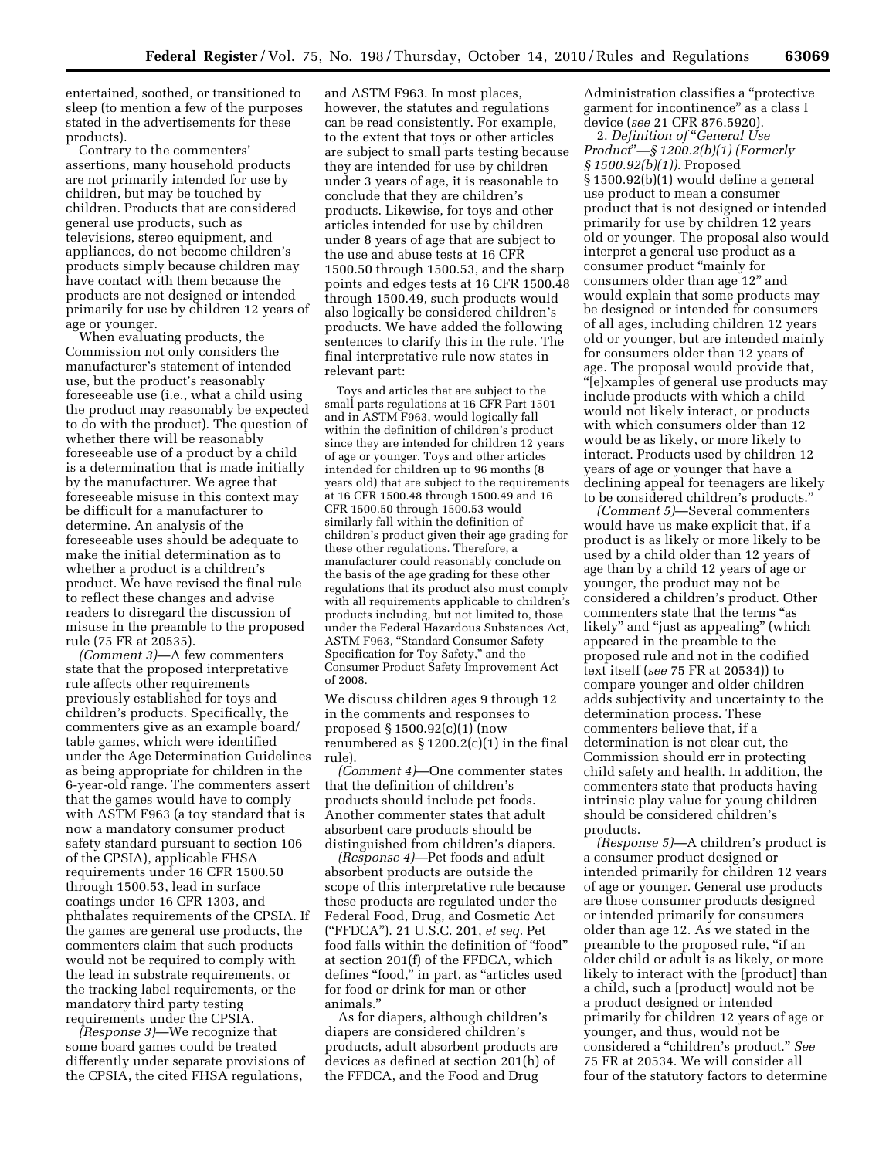entertained, soothed, or transitioned to sleep (to mention a few of the purposes stated in the advertisements for these products).

Contrary to the commenters' assertions, many household products are not primarily intended for use by children, but may be touched by children. Products that are considered general use products, such as televisions, stereo equipment, and appliances, do not become children's products simply because children may have contact with them because the products are not designed or intended primarily for use by children 12 years of age or younger.

When evaluating products, the Commission not only considers the manufacturer's statement of intended use, but the product's reasonably foreseeable use (i.e., what a child using the product may reasonably be expected to do with the product). The question of whether there will be reasonably foreseeable use of a product by a child is a determination that is made initially by the manufacturer. We agree that foreseeable misuse in this context may be difficult for a manufacturer to determine. An analysis of the foreseeable uses should be adequate to make the initial determination as to whether a product is a children's product. We have revised the final rule to reflect these changes and advise readers to disregard the discussion of misuse in the preamble to the proposed rule (75 FR at 20535).

*(Comment 3)*—A few commenters state that the proposed interpretative rule affects other requirements previously established for toys and children's products. Specifically, the commenters give as an example board/ table games, which were identified under the Age Determination Guidelines as being appropriate for children in the 6-year-old range. The commenters assert that the games would have to comply with ASTM F963 (a toy standard that is now a mandatory consumer product safety standard pursuant to section 106 of the CPSIA), applicable FHSA requirements under 16 CFR 1500.50 through 1500.53, lead in surface coatings under 16 CFR 1303, and phthalates requirements of the CPSIA. If the games are general use products, the commenters claim that such products would not be required to comply with the lead in substrate requirements, or the tracking label requirements, or the mandatory third party testing requirements under the CPSIA.

*(Response 3)*—We recognize that some board games could be treated differently under separate provisions of the CPSIA, the cited FHSA regulations,

and ASTM F963. In most places, however, the statutes and regulations can be read consistently. For example, to the extent that toys or other articles are subject to small parts testing because they are intended for use by children under 3 years of age, it is reasonable to conclude that they are children's products. Likewise, for toys and other articles intended for use by children under 8 years of age that are subject to the use and abuse tests at 16 CFR 1500.50 through 1500.53, and the sharp points and edges tests at 16 CFR 1500.48 through 1500.49, such products would also logically be considered children's products. We have added the following sentences to clarify this in the rule. The final interpretative rule now states in relevant part:

Toys and articles that are subject to the small parts regulations at 16 CFR Part 1501 and in ASTM F963, would logically fall within the definition of children's product since they are intended for children 12 years of age or younger. Toys and other articles intended for children up to 96 months (8 years old) that are subject to the requirements at 16 CFR 1500.48 through 1500.49 and 16 CFR 1500.50 through 1500.53 would similarly fall within the definition of children's product given their age grading for these other regulations. Therefore, a manufacturer could reasonably conclude on the basis of the age grading for these other regulations that its product also must comply with all requirements applicable to children's products including, but not limited to, those under the Federal Hazardous Substances Act, ASTM F963, ''Standard Consumer Safety Specification for Toy Safety,'' and the Consumer Product Safety Improvement Act of 2008.

We discuss children ages 9 through 12 in the comments and responses to proposed § 1500.92(c)(1) (now renumbered as  $\S 1200.2(c)(1)$  in the final rule).

*(Comment 4)*—One commenter states that the definition of children's products should include pet foods. Another commenter states that adult absorbent care products should be distinguished from children's diapers.

*(Response 4)*—Pet foods and adult absorbent products are outside the scope of this interpretative rule because these products are regulated under the Federal Food, Drug, and Cosmetic Act (''FFDCA''). 21 U.S.C. 201, *et seq.* Pet food falls within the definition of ''food'' at section 201(f) of the FFDCA, which defines ''food,'' in part, as ''articles used for food or drink for man or other animals.''

As for diapers, although children's diapers are considered children's products, adult absorbent products are devices as defined at section 201(h) of the FFDCA, and the Food and Drug

Administration classifies a ''protective garment for incontinence'' as a class I device (*see* 21 CFR 876.5920).

2. *Definition of* ''*General Use Product*''*—§ 1200.2(b)(1) (Formerly § 1500.92(b)(1)).* Proposed § 1500.92(b)(1) would define a general use product to mean a consumer product that is not designed or intended primarily for use by children 12 years old or younger. The proposal also would interpret a general use product as a consumer product ''mainly for consumers older than age 12'' and would explain that some products may be designed or intended for consumers of all ages, including children 12 years old or younger, but are intended mainly for consumers older than 12 years of age. The proposal would provide that, ''[e]xamples of general use products may include products with which a child would not likely interact, or products with which consumers older than 12 would be as likely, or more likely to interact. Products used by children 12 years of age or younger that have a declining appeal for teenagers are likely to be considered children's products.''

*(Comment 5)*—Several commenters would have us make explicit that, if a product is as likely or more likely to be used by a child older than 12 years of age than by a child 12 years of age or younger, the product may not be considered a children's product. Other commenters state that the terms ''as likely'' and ''just as appealing'' (which appeared in the preamble to the proposed rule and not in the codified text itself (*see* 75 FR at 20534)) to compare younger and older children adds subjectivity and uncertainty to the determination process. These commenters believe that, if a determination is not clear cut, the Commission should err in protecting child safety and health. In addition, the commenters state that products having intrinsic play value for young children should be considered children's products.

*(Response 5)*—A children's product is a consumer product designed or intended primarily for children 12 years of age or younger. General use products are those consumer products designed or intended primarily for consumers older than age 12. As we stated in the preamble to the proposed rule, ''if an older child or adult is as likely, or more likely to interact with the [product] than a child, such a [product] would not be a product designed or intended primarily for children 12 years of age or younger, and thus, would not be considered a ''children's product.'' *See*  75 FR at 20534. We will consider all four of the statutory factors to determine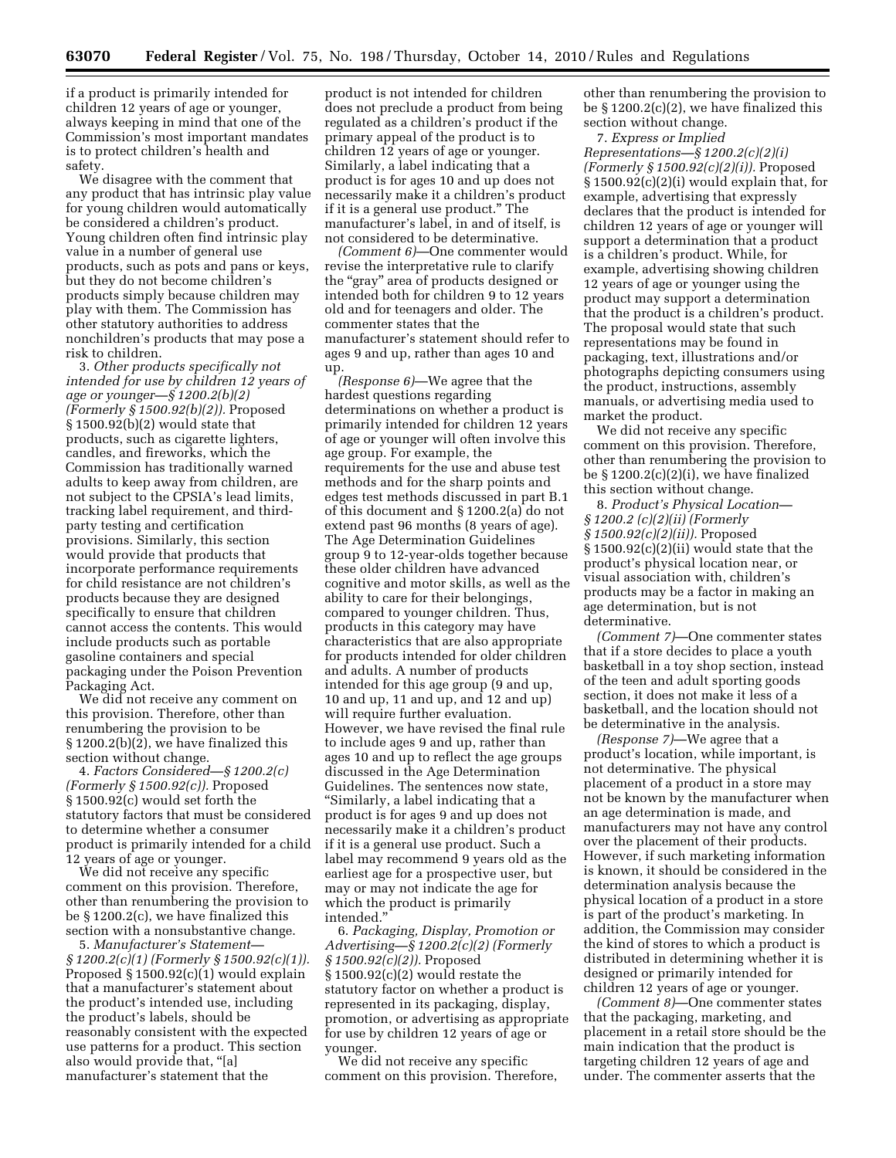if a product is primarily intended for children 12 years of age or younger, always keeping in mind that one of the Commission's most important mandates is to protect children's health and safety.

We disagree with the comment that any product that has intrinsic play value for young children would automatically be considered a children's product. Young children often find intrinsic play value in a number of general use products, such as pots and pans or keys, but they do not become children's products simply because children may play with them. The Commission has other statutory authorities to address nonchildren's products that may pose a risk to children.

3. *Other products specifically not intended for use by children 12 years of age or younger—§ 1200.2(b)(2) (Formerly § 1500.92(b)(2)).* Proposed § 1500.92(b)(2) would state that products, such as cigarette lighters, candles, and fireworks, which the Commission has traditionally warned adults to keep away from children, are not subject to the CPSIA's lead limits, tracking label requirement, and thirdparty testing and certification provisions. Similarly, this section would provide that products that incorporate performance requirements for child resistance are not children's products because they are designed specifically to ensure that children cannot access the contents. This would include products such as portable gasoline containers and special packaging under the Poison Prevention Packaging Act.

We did not receive any comment on this provision. Therefore, other than renumbering the provision to be § 1200.2(b)(2), we have finalized this section without change.

4. *Factors Considered—§ 1200.2(c) (Formerly § 1500.92(c)).* Proposed § 1500.92(c) would set forth the statutory factors that must be considered to determine whether a consumer product is primarily intended for a child 12 years of age or younger.

We did not receive any specific comment on this provision. Therefore, other than renumbering the provision to be § 1200.2(c), we have finalized this section with a nonsubstantive change.

5. *Manufacturer's Statement— § 1200.2(c)(1) (Formerly § 1500.92(c)(1)).*  Proposed § 1500.92(c)(1) would explain that a manufacturer's statement about the product's intended use, including the product's labels, should be reasonably consistent with the expected use patterns for a product. This section also would provide that, ''[a] manufacturer's statement that the

product is not intended for children does not preclude a product from being regulated as a children's product if the primary appeal of the product is to children 12 years of age or younger. Similarly, a label indicating that a product is for ages 10 and up does not necessarily make it a children's product if it is a general use product.'' The manufacturer's label, in and of itself, is not considered to be determinative.

*(Comment 6)*—One commenter would revise the interpretative rule to clarify the ''gray'' area of products designed or intended both for children 9 to 12 years old and for teenagers and older. The commenter states that the manufacturer's statement should refer to ages 9 and up, rather than ages 10 and up.

*(Response 6)*—We agree that the hardest questions regarding determinations on whether a product is primarily intended for children 12 years of age or younger will often involve this age group. For example, the requirements for the use and abuse test methods and for the sharp points and edges test methods discussed in part B.1 of this document and § 1200.2(a) do not extend past 96 months (8 years of age). The Age Determination Guidelines group 9 to 12-year-olds together because these older children have advanced cognitive and motor skills, as well as the ability to care for their belongings, compared to younger children. Thus, products in this category may have characteristics that are also appropriate for products intended for older children and adults. A number of products intended for this age group (9 and up, 10 and up, 11 and up, and 12 and up) will require further evaluation. However, we have revised the final rule to include ages 9 and up, rather than ages 10 and up to reflect the age groups discussed in the Age Determination Guidelines. The sentences now state, ''Similarly, a label indicating that a product is for ages 9 and up does not necessarily make it a children's product if it is a general use product. Such a label may recommend 9 years old as the earliest age for a prospective user, but may or may not indicate the age for which the product is primarily intended.''

6. *Packaging, Display, Promotion or Advertising—§ 1200.2(c)(2) (Formerly § 1500.92(c)(2)).* Proposed § 1500.92(c)(2) would restate the statutory factor on whether a product is represented in its packaging, display, promotion, or advertising as appropriate for use by children 12 years of age or younger.

We did not receive any specific comment on this provision. Therefore,

other than renumbering the provision to be § 1200.2(c)(2), we have finalized this section without change.

7. *Express or Implied Representations—§ 1200.2(c)(2)(i) (Formerly § 1500.92(c)(2)(i)).* Proposed § 1500.92(c)(2)(i) would explain that, for example, advertising that expressly declares that the product is intended for children 12 years of age or younger will support a determination that a product is a children's product. While, for example, advertising showing children 12 years of age or younger using the product may support a determination that the product is a children's product. The proposal would state that such representations may be found in packaging, text, illustrations and/or photographs depicting consumers using the product, instructions, assembly manuals, or advertising media used to market the product.

We did not receive any specific comment on this provision. Therefore, other than renumbering the provision to be  $\S 1200.2(c)(2)(i)$ , we have finalized this section without change.

8. *Product's Physical Location— § 1200.2 (c)(2)(ii) (Formerly § 1500.92(c)(2)(ii)).* Proposed § 1500.92(c)(2)(ii) would state that the product's physical location near, or visual association with, children's products may be a factor in making an age determination, but is not determinative.

*(Comment 7)*—One commenter states that if a store decides to place a youth basketball in a toy shop section, instead of the teen and adult sporting goods section, it does not make it less of a basketball, and the location should not be determinative in the analysis.

*(Response 7)*—We agree that a product's location, while important, is not determinative. The physical placement of a product in a store may not be known by the manufacturer when an age determination is made, and manufacturers may not have any control over the placement of their products. However, if such marketing information is known, it should be considered in the determination analysis because the physical location of a product in a store is part of the product's marketing. In addition, the Commission may consider the kind of stores to which a product is distributed in determining whether it is designed or primarily intended for children 12 years of age or younger.

*(Comment 8)*—One commenter states that the packaging, marketing, and placement in a retail store should be the main indication that the product is targeting children 12 years of age and under. The commenter asserts that the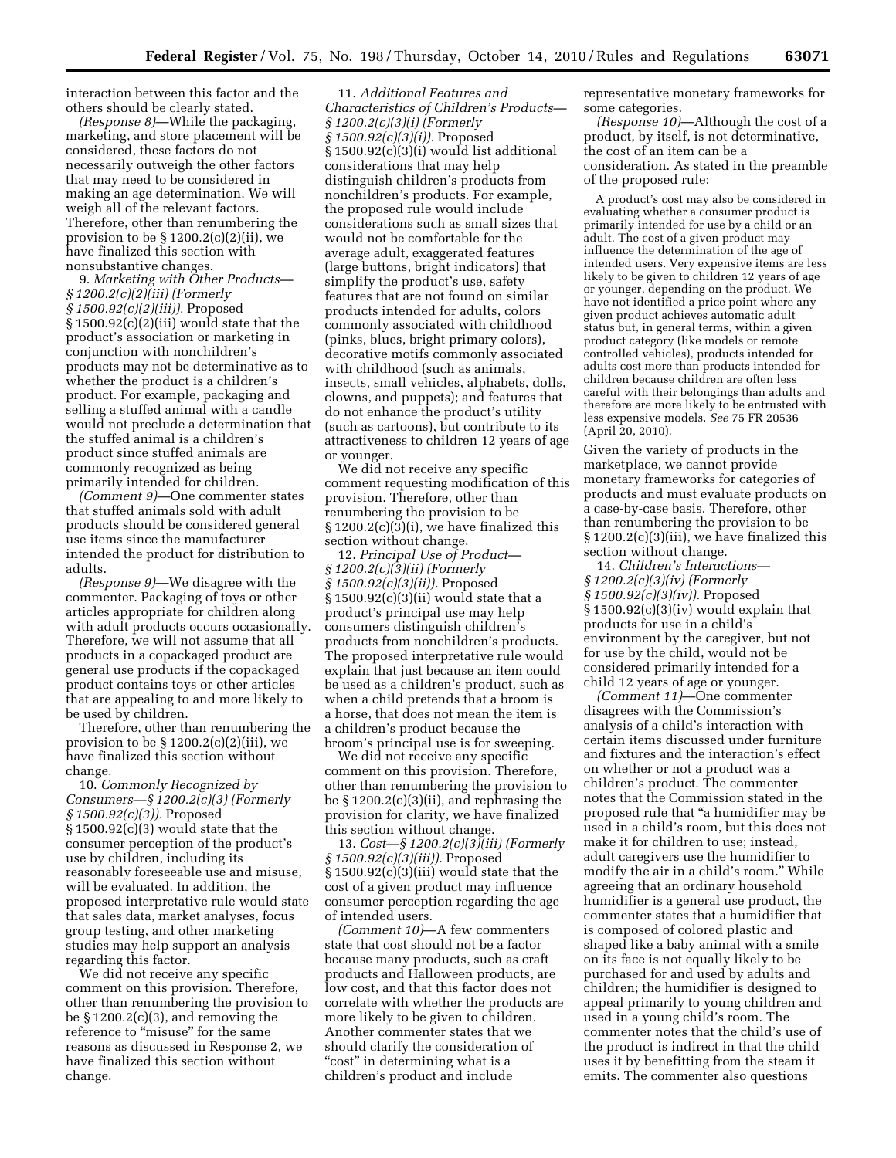interaction between this factor and the others should be clearly stated.

*(Response 8)*—While the packaging, marketing, and store placement will be considered, these factors do not necessarily outweigh the other factors that may need to be considered in making an age determination. We will weigh all of the relevant factors. Therefore, other than renumbering the provision to be  $\S 1200.2(c)(2)(ii)$ , we have finalized this section with nonsubstantive changes.

9. *Marketing with Other Products— § 1200.2(c)(2)(iii) (Formerly § 1500.92(c)(2)(iii)).* Proposed § 1500.92(c)(2)(iii) would state that the product's association or marketing in conjunction with nonchildren's products may not be determinative as to whether the product is a children's product. For example, packaging and selling a stuffed animal with a candle would not preclude a determination that the stuffed animal is a children's product since stuffed animals are commonly recognized as being primarily intended for children.

*(Comment 9)*—One commenter states that stuffed animals sold with adult products should be considered general use items since the manufacturer intended the product for distribution to adults.

*(Response 9)*—We disagree with the commenter. Packaging of toys or other articles appropriate for children along with adult products occurs occasionally. Therefore, we will not assume that all products in a copackaged product are general use products if the copackaged product contains toys or other articles that are appealing to and more likely to be used by children.

Therefore, other than renumbering the provision to be  $\S 1200.2(c)(2)(iii)$ , we have finalized this section without change.

10. *Commonly Recognized by Consumers—§ 1200.2(c)(3) (Formerly § 1500.92(c)(3)).* Proposed § 1500.92(c)(3) would state that the consumer perception of the product's use by children, including its reasonably foreseeable use and misuse, will be evaluated. In addition, the proposed interpretative rule would state that sales data, market analyses, focus group testing, and other marketing studies may help support an analysis regarding this factor.

We did not receive any specific comment on this provision. Therefore, other than renumbering the provision to be § 1200.2(c)(3), and removing the reference to "misuse" for the same reasons as discussed in Response 2, we have finalized this section without change.

11. *Additional Features and Characteristics of Children's Products— § 1200.2(c)(3)(i) (Formerly § 1500.92(c)(3)(i)).* Proposed § 1500.92(c)(3)(i) would list additional considerations that may help distinguish children's products from nonchildren's products. For example, the proposed rule would include considerations such as small sizes that would not be comfortable for the average adult, exaggerated features (large buttons, bright indicators) that simplify the product's use, safety features that are not found on similar products intended for adults, colors commonly associated with childhood (pinks, blues, bright primary colors), decorative motifs commonly associated with childhood (such as animals, insects, small vehicles, alphabets, dolls, clowns, and puppets); and features that do not enhance the product's utility (such as cartoons), but contribute to its attractiveness to children 12 years of age or younger.

We did not receive any specific comment requesting modification of this provision. Therefore, other than renumbering the provision to be § 1200.2(c)(3)(i), we have finalized this section without change.

12. *Principal Use of Product— § 1200.2(c)(3)(ii) (Formerly § 1500.92(c)(3)(ii)).* Proposed § 1500.92(c)(3)(ii) would state that a product's principal use may help consumers distinguish children's products from nonchildren's products. The proposed interpretative rule would explain that just because an item could be used as a children's product, such as when a child pretends that a broom is a horse, that does not mean the item is a children's product because the broom's principal use is for sweeping.

We did not receive any specific comment on this provision. Therefore, other than renumbering the provision to be § 1200.2(c)(3)(ii), and rephrasing the provision for clarity, we have finalized this section without change.

13. *Cost—§ 1200.2(c)(3)(iii) (Formerly § 1500.92(c)(3)(iii)).* Proposed § 1500.92(c)(3)(iii) would state that the cost of a given product may influence consumer perception regarding the age of intended users.

*(Comment 10)*—A few commenters state that cost should not be a factor because many products, such as craft products and Halloween products, are low cost, and that this factor does not correlate with whether the products are more likely to be given to children. Another commenter states that we should clarify the consideration of "cost" in determining what is a children's product and include

representative monetary frameworks for some categories.

*(Response 10)*—Although the cost of a product, by itself, is not determinative, the cost of an item can be a consideration. As stated in the preamble of the proposed rule:

A product's cost may also be considered in evaluating whether a consumer product is primarily intended for use by a child or an adult. The cost of a given product may influence the determination of the age of intended users. Very expensive items are less likely to be given to children 12 years of age or younger, depending on the product. We have not identified a price point where any given product achieves automatic adult status but, in general terms, within a given product category (like models or remote controlled vehicles), products intended for adults cost more than products intended for children because children are often less careful with their belongings than adults and therefore are more likely to be entrusted with less expensive models. *See* 75 FR 20536 (April 20, 2010).

Given the variety of products in the marketplace, we cannot provide monetary frameworks for categories of products and must evaluate products on a case-by-case basis. Therefore, other than renumbering the provision to be § 1200.2(c)(3)(iii), we have finalized this section without change.

14. *Children's Interactions— § 1200.2(c)(3)(iv) (Formerly § 1500.92(c)(3)(iv)).* Proposed § 1500.92(c)(3)(iv) would explain that products for use in a child's environment by the caregiver, but not for use by the child, would not be considered primarily intended for a child 12 years of age or younger.

*(Comment 11)*—One commenter disagrees with the Commission's analysis of a child's interaction with certain items discussed under furniture and fixtures and the interaction's effect on whether or not a product was a children's product. The commenter notes that the Commission stated in the proposed rule that ''a humidifier may be used in a child's room, but this does not make it for children to use; instead, adult caregivers use the humidifier to modify the air in a child's room.'' While agreeing that an ordinary household humidifier is a general use product, the commenter states that a humidifier that is composed of colored plastic and shaped like a baby animal with a smile on its face is not equally likely to be purchased for and used by adults and children; the humidifier is designed to appeal primarily to young children and used in a young child's room. The commenter notes that the child's use of the product is indirect in that the child uses it by benefitting from the steam it emits. The commenter also questions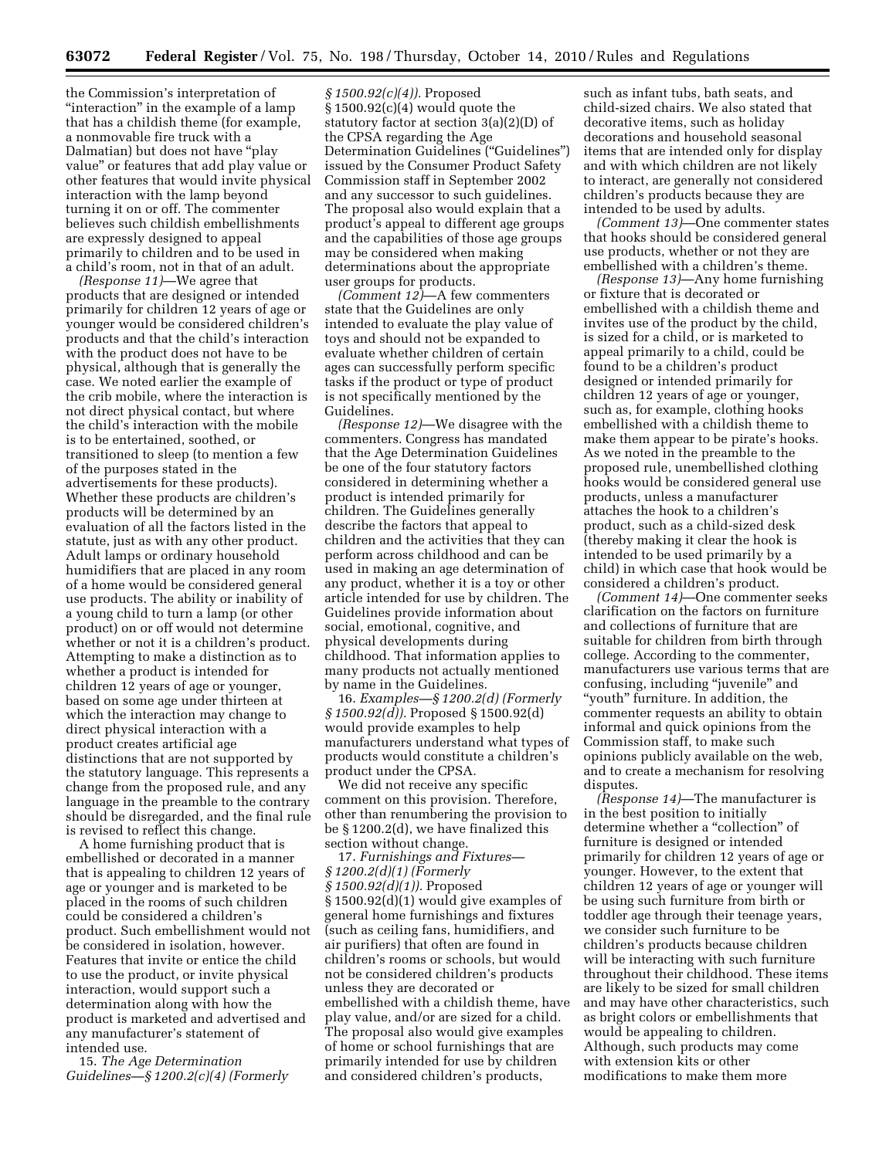the Commission's interpretation of ''interaction'' in the example of a lamp that has a childish theme (for example, a nonmovable fire truck with a Dalmatian) but does not have ''play value'' or features that add play value or other features that would invite physical interaction with the lamp beyond turning it on or off. The commenter believes such childish embellishments are expressly designed to appeal primarily to children and to be used in a child's room, not in that of an adult.

*(Response 11)*—We agree that products that are designed or intended primarily for children 12 years of age or younger would be considered children's products and that the child's interaction with the product does not have to be physical, although that is generally the case. We noted earlier the example of the crib mobile, where the interaction is not direct physical contact, but where the child's interaction with the mobile is to be entertained, soothed, or transitioned to sleep (to mention a few of the purposes stated in the advertisements for these products). Whether these products are children's products will be determined by an evaluation of all the factors listed in the statute, just as with any other product. Adult lamps or ordinary household humidifiers that are placed in any room of a home would be considered general use products. The ability or inability of a young child to turn a lamp (or other product) on or off would not determine whether or not it is a children's product. Attempting to make a distinction as to whether a product is intended for children 12 years of age or younger, based on some age under thirteen at which the interaction may change to direct physical interaction with a product creates artificial age distinctions that are not supported by the statutory language. This represents a change from the proposed rule, and any language in the preamble to the contrary should be disregarded, and the final rule is revised to reflect this change.

A home furnishing product that is embellished or decorated in a manner that is appealing to children 12 years of age or younger and is marketed to be placed in the rooms of such children could be considered a children's product. Such embellishment would not be considered in isolation, however. Features that invite or entice the child to use the product, or invite physical interaction, would support such a determination along with how the product is marketed and advertised and any manufacturer's statement of intended use.

15. *The Age Determination Guidelines—§ 1200.2(c)(4) (Formerly* 

*§ 1500.92(c)(4)).* Proposed  $§ 1500.92(c)(4)$  would quote the statutory factor at section 3(a)(2)(D) of the CPSA regarding the Age Determination Guidelines (''Guidelines'') issued by the Consumer Product Safety Commission staff in September 2002 and any successor to such guidelines. The proposal also would explain that a product's appeal to different age groups and the capabilities of those age groups may be considered when making determinations about the appropriate user groups for products.

*(Comment 12)*—A few commenters state that the Guidelines are only intended to evaluate the play value of toys and should not be expanded to evaluate whether children of certain ages can successfully perform specific tasks if the product or type of product is not specifically mentioned by the Guidelines.

*(Response 12)*—We disagree with the commenters. Congress has mandated that the Age Determination Guidelines be one of the four statutory factors considered in determining whether a product is intended primarily for children. The Guidelines generally describe the factors that appeal to children and the activities that they can perform across childhood and can be used in making an age determination of any product, whether it is a toy or other article intended for use by children. The Guidelines provide information about social, emotional, cognitive, and physical developments during childhood. That information applies to many products not actually mentioned by name in the Guidelines.

16. *Examples—§ 1200.2(d) (Formerly § 1500.92(d)).* Proposed § 1500.92(d) would provide examples to help manufacturers understand what types of products would constitute a children's product under the CPSA.

We did not receive any specific comment on this provision. Therefore, other than renumbering the provision to be § 1200.2(d), we have finalized this section without change.

17. *Furnishings and Fixtures— § 1200.2(d)(1) (Formerly § 1500.92(d)(1)).* Proposed § 1500.92(d)(1) would give examples of general home furnishings and fixtures (such as ceiling fans, humidifiers, and air purifiers) that often are found in children's rooms or schools, but would not be considered children's products unless they are decorated or embellished with a childish theme, have play value, and/or are sized for a child. The proposal also would give examples of home or school furnishings that are primarily intended for use by children and considered children's products,

such as infant tubs, bath seats, and child-sized chairs. We also stated that decorative items, such as holiday decorations and household seasonal items that are intended only for display and with which children are not likely to interact, are generally not considered children's products because they are intended to be used by adults.

*(Comment 13)*—One commenter states that hooks should be considered general use products, whether or not they are embellished with a children's theme.

*(Response 13)*—Any home furnishing or fixture that is decorated or embellished with a childish theme and invites use of the product by the child, is sized for a child, or is marketed to appeal primarily to a child, could be found to be a children's product designed or intended primarily for children 12 years of age or younger, such as, for example, clothing hooks embellished with a childish theme to make them appear to be pirate's hooks. As we noted in the preamble to the proposed rule, unembellished clothing hooks would be considered general use products, unless a manufacturer attaches the hook to a children's product, such as a child-sized desk (thereby making it clear the hook is intended to be used primarily by a child) in which case that hook would be considered a children's product.

*(Comment 14)*—One commenter seeks clarification on the factors on furniture and collections of furniture that are suitable for children from birth through college. According to the commenter, manufacturers use various terms that are confusing, including "juvenile" and ''youth'' furniture. In addition, the commenter requests an ability to obtain informal and quick opinions from the Commission staff, to make such opinions publicly available on the web, and to create a mechanism for resolving disputes.

*(Response 14)*—The manufacturer is in the best position to initially determine whether a "collection" of furniture is designed or intended primarily for children 12 years of age or younger. However, to the extent that children 12 years of age or younger will be using such furniture from birth or toddler age through their teenage years, we consider such furniture to be children's products because children will be interacting with such furniture throughout their childhood. These items are likely to be sized for small children and may have other characteristics, such as bright colors or embellishments that would be appealing to children. Although, such products may come with extension kits or other modifications to make them more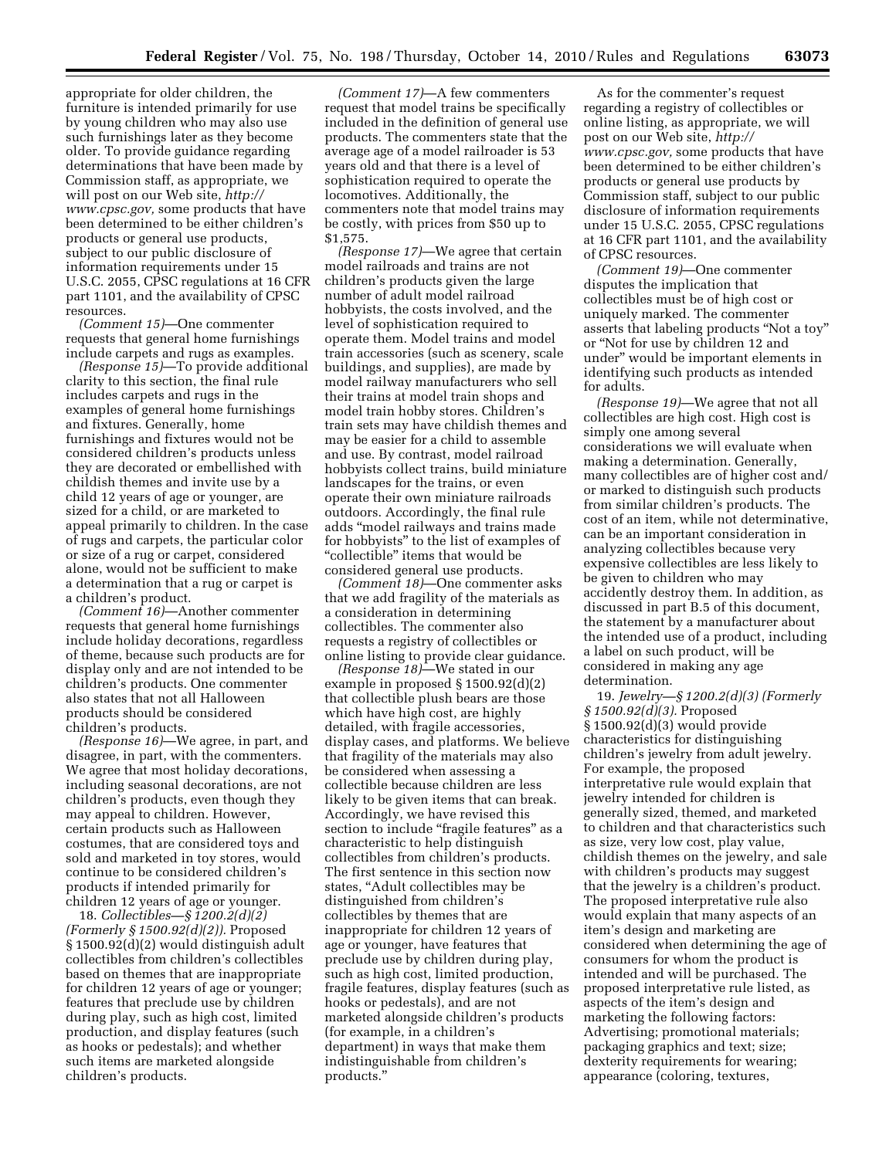appropriate for older children, the furniture is intended primarily for use by young children who may also use such furnishings later as they become older. To provide guidance regarding determinations that have been made by Commission staff, as appropriate, we will post on our Web site, *http:// www.cpsc.gov,* some products that have been determined to be either children's products or general use products, subject to our public disclosure of information requirements under 15 U.S.C. 2055, CPSC regulations at 16 CFR part 1101, and the availability of CPSC resources.

*(Comment 15)*—One commenter requests that general home furnishings include carpets and rugs as examples.

*(Response 15)*—To provide additional clarity to this section, the final rule includes carpets and rugs in the examples of general home furnishings and fixtures. Generally, home furnishings and fixtures would not be considered children's products unless they are decorated or embellished with childish themes and invite use by a child 12 years of age or younger, are sized for a child, or are marketed to appeal primarily to children. In the case of rugs and carpets, the particular color or size of a rug or carpet, considered alone, would not be sufficient to make a determination that a rug or carpet is a children's product.

*(Comment 16)*—Another commenter requests that general home furnishings include holiday decorations, regardless of theme, because such products are for display only and are not intended to be children's products. One commenter also states that not all Halloween products should be considered children's products.

*(Response 16)*—We agree, in part, and disagree, in part, with the commenters. We agree that most holiday decorations, including seasonal decorations, are not children's products, even though they may appeal to children. However, certain products such as Halloween costumes, that are considered toys and sold and marketed in toy stores, would continue to be considered children's products if intended primarily for children 12 years of age or younger.

18. *Collectibles—§ 1200.2(d)(2) (Formerly § 1500.92(d)(2)).* Proposed § 1500.92(d)(2) would distinguish adult collectibles from children's collectibles based on themes that are inappropriate for children 12 years of age or younger; features that preclude use by children during play, such as high cost, limited production, and display features (such as hooks or pedestals); and whether such items are marketed alongside children's products.

*(Comment 17)*—A few commenters request that model trains be specifically included in the definition of general use products. The commenters state that the average age of a model railroader is 53 years old and that there is a level of sophistication required to operate the locomotives. Additionally, the commenters note that model trains may be costly, with prices from \$50 up to \$1,575.

*(Response 17)*—We agree that certain model railroads and trains are not children's products given the large number of adult model railroad hobbyists, the costs involved, and the level of sophistication required to operate them. Model trains and model train accessories (such as scenery, scale buildings, and supplies), are made by model railway manufacturers who sell their trains at model train shops and model train hobby stores. Children's train sets may have childish themes and may be easier for a child to assemble and use. By contrast, model railroad hobbyists collect trains, build miniature landscapes for the trains, or even operate their own miniature railroads outdoors. Accordingly, the final rule adds ''model railways and trains made for hobbyists'' to the list of examples of "collectible" items that would be considered general use products.

*(Comment 18)*—One commenter asks that we add fragility of the materials as a consideration in determining collectibles. The commenter also requests a registry of collectibles or online listing to provide clear guidance.

*(Response 18)*—We stated in our example in proposed § 1500.92(d)(2) that collectible plush bears are those which have high cost, are highly detailed, with fragile accessories, display cases, and platforms. We believe that fragility of the materials may also be considered when assessing a collectible because children are less likely to be given items that can break. Accordingly, we have revised this section to include "fragile features" as a characteristic to help distinguish collectibles from children's products. The first sentence in this section now states, ''Adult collectibles may be distinguished from children's collectibles by themes that are inappropriate for children 12 years of age or younger, have features that preclude use by children during play, such as high cost, limited production, fragile features, display features (such as hooks or pedestals), and are not marketed alongside children's products (for example, in a children's department) in ways that make them indistinguishable from children's products.''

As for the commenter's request regarding a registry of collectibles or online listing, as appropriate, we will post on our Web site, *http:// www.cpsc.gov,* some products that have been determined to be either children's products or general use products by Commission staff, subject to our public disclosure of information requirements under 15 U.S.C. 2055, CPSC regulations at 16 CFR part 1101, and the availability of CPSC resources.

*(Comment 19)*—One commenter disputes the implication that collectibles must be of high cost or uniquely marked. The commenter asserts that labeling products ''Not a toy'' or ''Not for use by children 12 and under'' would be important elements in identifying such products as intended for adults.

*(Response 19)*—We agree that not all collectibles are high cost. High cost is simply one among several considerations we will evaluate when making a determination. Generally, many collectibles are of higher cost and/ or marked to distinguish such products from similar children's products. The cost of an item, while not determinative, can be an important consideration in analyzing collectibles because very expensive collectibles are less likely to be given to children who may accidently destroy them. In addition, as discussed in part B.5 of this document, the statement by a manufacturer about the intended use of a product, including a label on such product, will be considered in making any age determination.

19. *Jewelry—§ 1200.2(d)(3) (Formerly § 1500.92(d)(3).* Proposed § 1500.92(d)(3) would provide characteristics for distinguishing children's jewelry from adult jewelry. For example, the proposed interpretative rule would explain that jewelry intended for children is generally sized, themed, and marketed to children and that characteristics such as size, very low cost, play value, childish themes on the jewelry, and sale with children's products may suggest that the jewelry is a children's product. The proposed interpretative rule also would explain that many aspects of an item's design and marketing are considered when determining the age of consumers for whom the product is intended and will be purchased. The proposed interpretative rule listed, as aspects of the item's design and marketing the following factors: Advertising; promotional materials; packaging graphics and text; size; dexterity requirements for wearing; appearance (coloring, textures,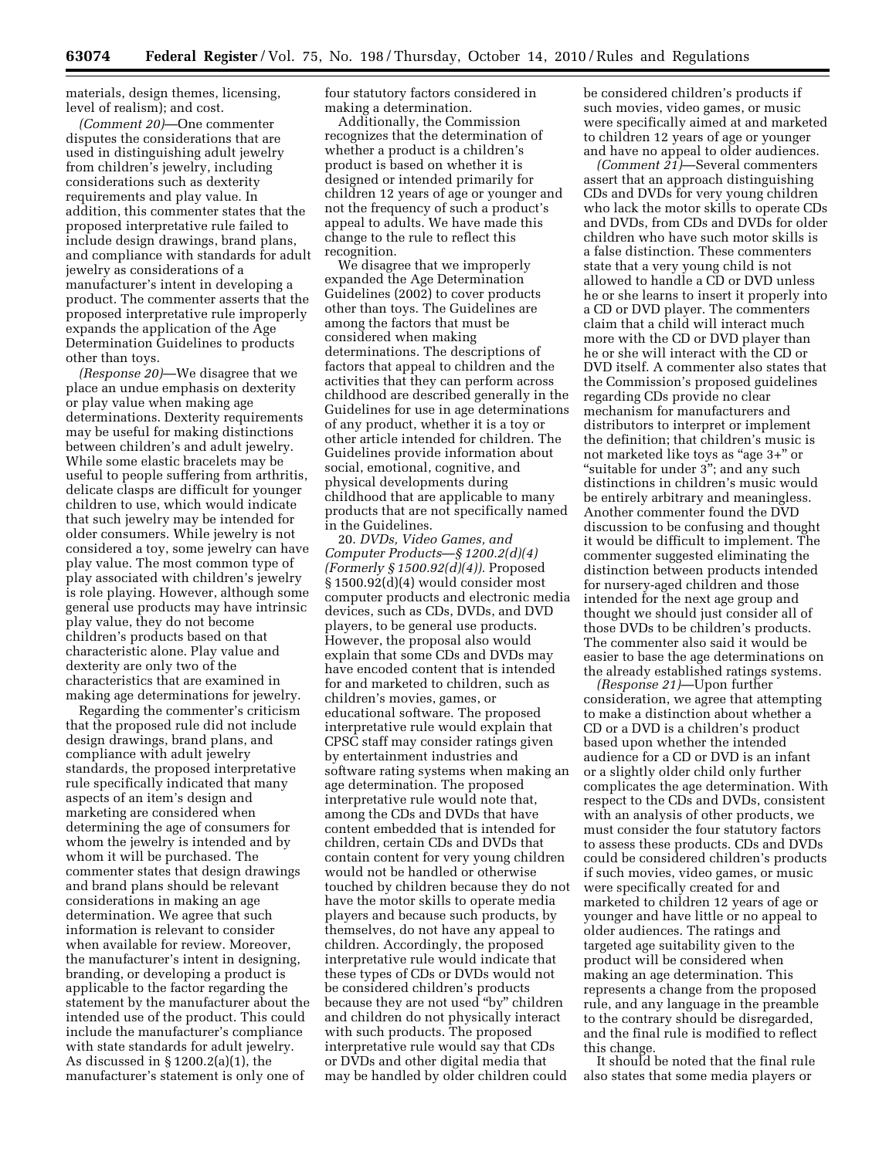materials, design themes, licensing, level of realism); and cost.

*(Comment 20)*—One commenter disputes the considerations that are used in distinguishing adult jewelry from children's jewelry, including considerations such as dexterity requirements and play value. In addition, this commenter states that the proposed interpretative rule failed to include design drawings, brand plans, and compliance with standards for adult jewelry as considerations of a manufacturer's intent in developing a product. The commenter asserts that the proposed interpretative rule improperly expands the application of the Age Determination Guidelines to products other than toys.

*(Response 20)*—We disagree that we place an undue emphasis on dexterity or play value when making age determinations. Dexterity requirements may be useful for making distinctions between children's and adult jewelry. While some elastic bracelets may be useful to people suffering from arthritis, delicate clasps are difficult for younger children to use, which would indicate that such jewelry may be intended for older consumers. While jewelry is not considered a toy, some jewelry can have play value. The most common type of play associated with children's jewelry is role playing. However, although some general use products may have intrinsic play value, they do not become children's products based on that characteristic alone. Play value and dexterity are only two of the characteristics that are examined in making age determinations for jewelry.

Regarding the commenter's criticism that the proposed rule did not include design drawings, brand plans, and compliance with adult jewelry standards, the proposed interpretative rule specifically indicated that many aspects of an item's design and marketing are considered when determining the age of consumers for whom the jewelry is intended and by whom it will be purchased. The commenter states that design drawings and brand plans should be relevant considerations in making an age determination. We agree that such information is relevant to consider when available for review. Moreover, the manufacturer's intent in designing, branding, or developing a product is applicable to the factor regarding the statement by the manufacturer about the intended use of the product. This could include the manufacturer's compliance with state standards for adult jewelry. As discussed in § 1200.2(a)(1), the manufacturer's statement is only one of

four statutory factors considered in making a determination.

Additionally, the Commission recognizes that the determination of whether a product is a children's product is based on whether it is designed or intended primarily for children 12 years of age or younger and not the frequency of such a product's appeal to adults. We have made this change to the rule to reflect this recognition.

We disagree that we improperly expanded the Age Determination Guidelines (2002) to cover products other than toys. The Guidelines are among the factors that must be considered when making determinations. The descriptions of factors that appeal to children and the activities that they can perform across childhood are described generally in the Guidelines for use in age determinations of any product, whether it is a toy or other article intended for children. The Guidelines provide information about social, emotional, cognitive, and physical developments during childhood that are applicable to many products that are not specifically named in the Guidelines.

20. *DVDs, Video Games, and Computer Products*—*§ 1200.2(d)(4) (Formerly § 1500.92(d)(4)).* Proposed § 1500.92(d)(4) would consider most computer products and electronic media devices, such as CDs, DVDs, and DVD players, to be general use products. However, the proposal also would explain that some CDs and DVDs may have encoded content that is intended for and marketed to children, such as children's movies, games, or educational software. The proposed interpretative rule would explain that CPSC staff may consider ratings given by entertainment industries and software rating systems when making an age determination. The proposed interpretative rule would note that, among the CDs and DVDs that have content embedded that is intended for children, certain CDs and DVDs that contain content for very young children would not be handled or otherwise touched by children because they do not have the motor skills to operate media players and because such products, by themselves, do not have any appeal to children. Accordingly, the proposed interpretative rule would indicate that these types of CDs or DVDs would not be considered children's products because they are not used ''by'' children and children do not physically interact with such products. The proposed interpretative rule would say that CDs or DVDs and other digital media that may be handled by older children could

be considered children's products if such movies, video games, or music were specifically aimed at and marketed to children 12 years of age or younger and have no appeal to older audiences.

*(Comment 21)*—Several commenters assert that an approach distinguishing CDs and DVDs for very young children who lack the motor skills to operate CDs and DVDs, from CDs and DVDs for older children who have such motor skills is a false distinction. These commenters state that a very young child is not allowed to handle a CD or DVD unless he or she learns to insert it properly into a CD or DVD player. The commenters claim that a child will interact much more with the CD or DVD player than he or she will interact with the CD or DVD itself. A commenter also states that the Commission's proposed guidelines regarding CDs provide no clear mechanism for manufacturers and distributors to interpret or implement the definition; that children's music is not marketed like toys as "age 3+" or ''suitable for under 3''; and any such distinctions in children's music would be entirely arbitrary and meaningless. Another commenter found the DVD discussion to be confusing and thought it would be difficult to implement. The commenter suggested eliminating the distinction between products intended for nursery-aged children and those intended for the next age group and thought we should just consider all of those DVDs to be children's products. The commenter also said it would be easier to base the age determinations on the already established ratings systems.

*(Response 21)*—Upon further consideration, we agree that attempting to make a distinction about whether a CD or a DVD is a children's product based upon whether the intended audience for a CD or DVD is an infant or a slightly older child only further complicates the age determination. With respect to the CDs and DVDs, consistent with an analysis of other products, we must consider the four statutory factors to assess these products. CDs and DVDs could be considered children's products if such movies, video games, or music were specifically created for and marketed to children 12 years of age or younger and have little or no appeal to older audiences. The ratings and targeted age suitability given to the product will be considered when making an age determination. This represents a change from the proposed rule, and any language in the preamble to the contrary should be disregarded, and the final rule is modified to reflect this change.

It should be noted that the final rule also states that some media players or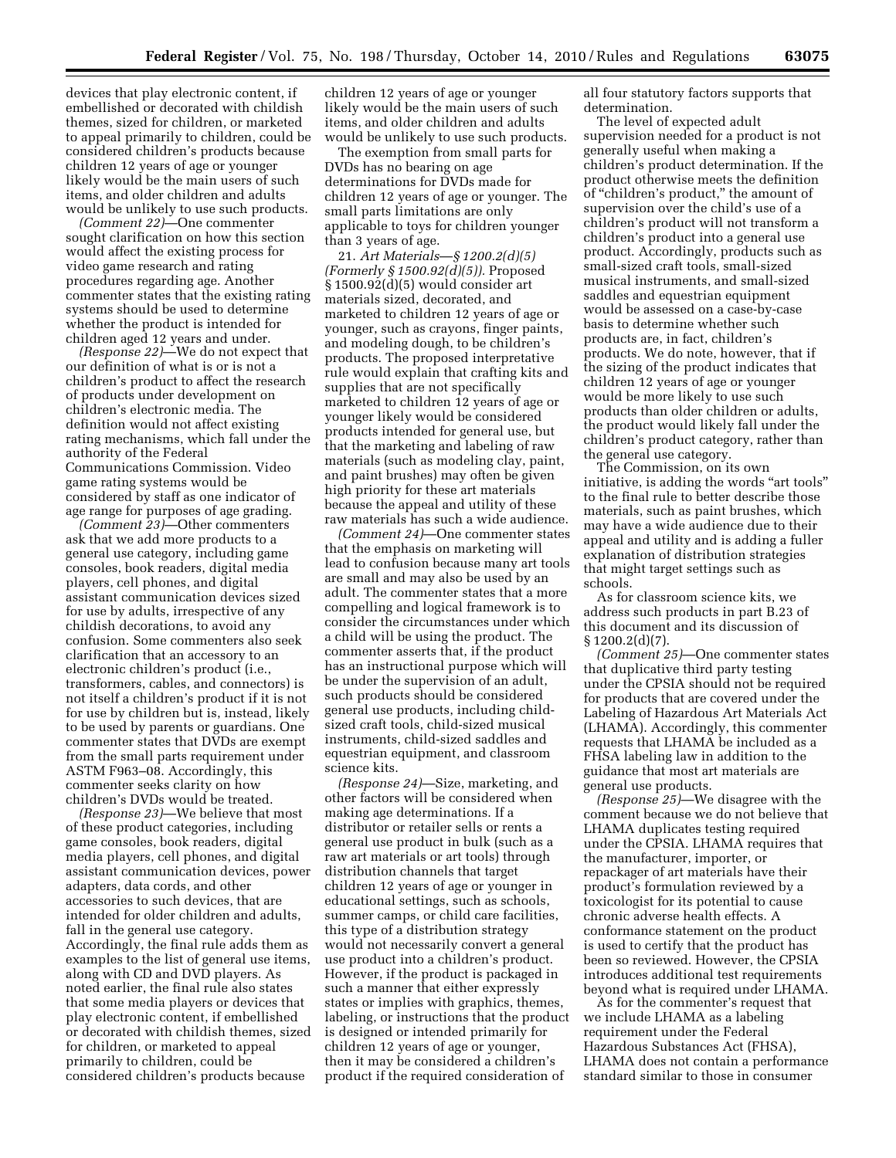devices that play electronic content, if embellished or decorated with childish themes, sized for children, or marketed to appeal primarily to children, could be considered children's products because children 12 years of age or younger likely would be the main users of such items, and older children and adults would be unlikely to use such products.

*(Comment 22)*—One commenter sought clarification on how this section would affect the existing process for video game research and rating procedures regarding age. Another commenter states that the existing rating systems should be used to determine whether the product is intended for children aged 12 years and under.

*(Response 22)*—We do not expect that our definition of what is or is not a children's product to affect the research of products under development on children's electronic media. The definition would not affect existing rating mechanisms, which fall under the authority of the Federal Communications Commission. Video game rating systems would be considered by staff as one indicator of age range for purposes of age grading.

*(Comment 23)*—Other commenters ask that we add more products to a general use category, including game consoles, book readers, digital media players, cell phones, and digital assistant communication devices sized for use by adults, irrespective of any childish decorations, to avoid any confusion. Some commenters also seek clarification that an accessory to an electronic children's product (i.e., transformers, cables, and connectors) is not itself a children's product if it is not for use by children but is, instead, likely to be used by parents or guardians. One commenter states that DVDs are exempt from the small parts requirement under ASTM F963–08. Accordingly, this commenter seeks clarity on how children's DVDs would be treated.

*(Response 23)*—We believe that most of these product categories, including game consoles, book readers, digital media players, cell phones, and digital assistant communication devices, power adapters, data cords, and other accessories to such devices, that are intended for older children and adults, fall in the general use category. Accordingly, the final rule adds them as examples to the list of general use items, along with CD and DVD players. As noted earlier, the final rule also states that some media players or devices that play electronic content, if embellished or decorated with childish themes, sized for children, or marketed to appeal primarily to children, could be considered children's products because

children 12 years of age or younger likely would be the main users of such items, and older children and adults would be unlikely to use such products.

The exemption from small parts for DVDs has no bearing on age determinations for DVDs made for children 12 years of age or younger. The small parts limitations are only applicable to toys for children younger than 3 years of age.

21. *Art Materials*—*§ 1200.2(d)(5) (Formerly § 1500.92(d)(5)).* Proposed § 1500.92(d)(5) would consider art materials sized, decorated, and marketed to children 12 years of age or younger, such as crayons, finger paints, and modeling dough, to be children's products. The proposed interpretative rule would explain that crafting kits and supplies that are not specifically marketed to children 12 years of age or younger likely would be considered products intended for general use, but that the marketing and labeling of raw materials (such as modeling clay, paint, and paint brushes) may often be given high priority for these art materials because the appeal and utility of these raw materials has such a wide audience.

*(Comment 24)*—One commenter states that the emphasis on marketing will lead to confusion because many art tools are small and may also be used by an adult. The commenter states that a more compelling and logical framework is to consider the circumstances under which a child will be using the product. The commenter asserts that, if the product has an instructional purpose which will be under the supervision of an adult, such products should be considered general use products, including childsized craft tools, child-sized musical instruments, child-sized saddles and equestrian equipment, and classroom science kits.

*(Response 24)*—Size, marketing, and other factors will be considered when making age determinations. If a distributor or retailer sells or rents a general use product in bulk (such as a raw art materials or art tools) through distribution channels that target children 12 years of age or younger in educational settings, such as schools, summer camps, or child care facilities, this type of a distribution strategy would not necessarily convert a general use product into a children's product. However, if the product is packaged in such a manner that either expressly states or implies with graphics, themes, labeling, or instructions that the product is designed or intended primarily for children 12 years of age or younger, then it may be considered a children's product if the required consideration of

all four statutory factors supports that determination.

The level of expected adult supervision needed for a product is not generally useful when making a children's product determination. If the product otherwise meets the definition of "children's product," the amount of supervision over the child's use of a children's product will not transform a children's product into a general use product. Accordingly, products such as small-sized craft tools, small-sized musical instruments, and small-sized saddles and equestrian equipment would be assessed on a case-by-case basis to determine whether such products are, in fact, children's products. We do note, however, that if the sizing of the product indicates that children 12 years of age or younger would be more likely to use such products than older children or adults, the product would likely fall under the children's product category, rather than the general use category.

The Commission, on its own initiative, is adding the words "art tools" to the final rule to better describe those materials, such as paint brushes, which may have a wide audience due to their appeal and utility and is adding a fuller explanation of distribution strategies that might target settings such as schools.

As for classroom science kits, we address such products in part B.23 of this document and its discussion of  $§ 1200.2(d)(7).$ 

*(Comment 25)*—One commenter states that duplicative third party testing under the CPSIA should not be required for products that are covered under the Labeling of Hazardous Art Materials Act (LHAMA). Accordingly, this commenter requests that LHAMA be included as a FHSA labeling law in addition to the guidance that most art materials are general use products.

*(Response 25)*—We disagree with the comment because we do not believe that LHAMA duplicates testing required under the CPSIA. LHAMA requires that the manufacturer, importer, or repackager of art materials have their product's formulation reviewed by a toxicologist for its potential to cause chronic adverse health effects. A conformance statement on the product is used to certify that the product has been so reviewed. However, the CPSIA introduces additional test requirements beyond what is required under LHAMA.

As for the commenter's request that we include LHAMA as a labeling requirement under the Federal Hazardous Substances Act (FHSA), LHAMA does not contain a performance standard similar to those in consumer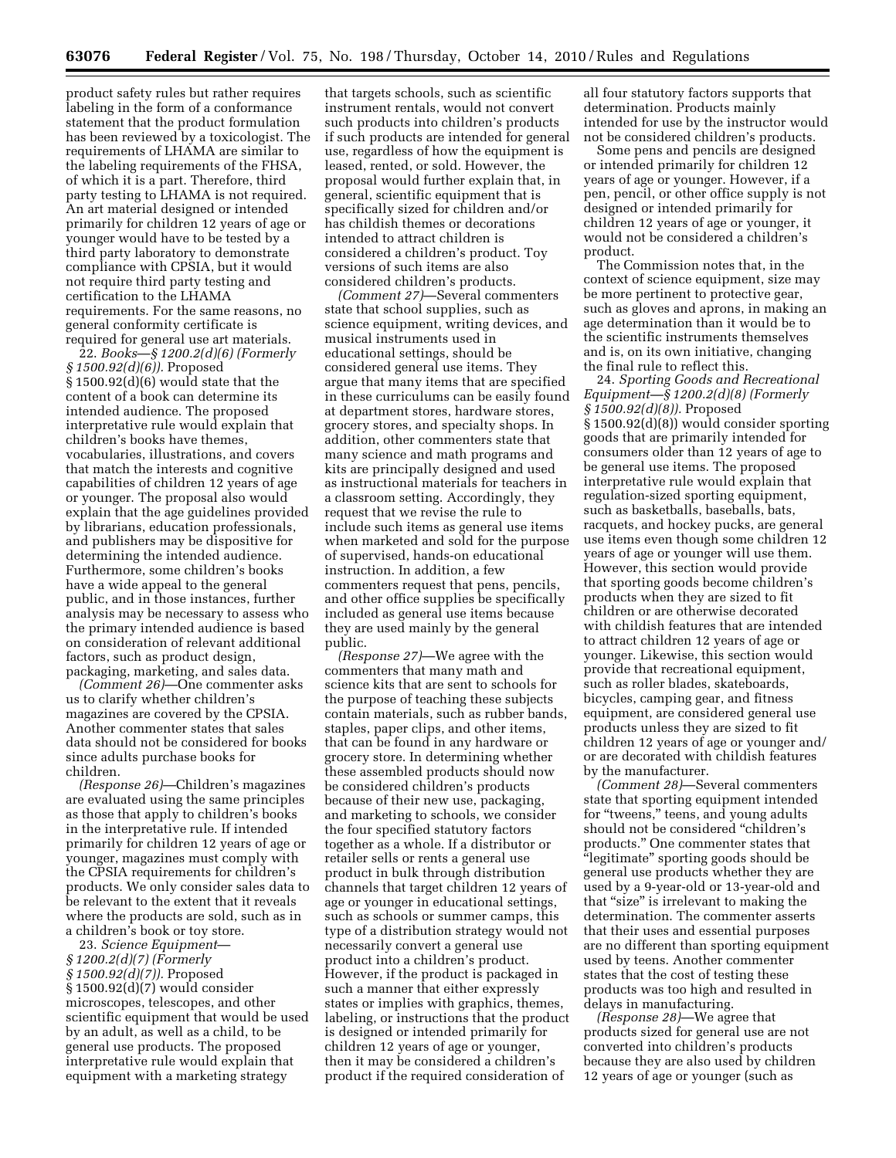product safety rules but rather requires labeling in the form of a conformance statement that the product formulation has been reviewed by a toxicologist. The requirements of LHAMA are similar to the labeling requirements of the FHSA, of which it is a part. Therefore, third party testing to LHAMA is not required. An art material designed or intended primarily for children 12 years of age or younger would have to be tested by a third party laboratory to demonstrate compliance with CPSIA, but it would not require third party testing and certification to the LHAMA requirements. For the same reasons, no general conformity certificate is required for general use art materials.

22. *Books*—*§ 1200.2(d)(6) (Formerly § 1500.92(d)(6)).* Proposed § 1500.92(d)(6) would state that the content of a book can determine its intended audience. The proposed interpretative rule would explain that children's books have themes, vocabularies, illustrations, and covers that match the interests and cognitive capabilities of children 12 years of age or younger. The proposal also would explain that the age guidelines provided by librarians, education professionals, and publishers may be dispositive for determining the intended audience. Furthermore, some children's books have a wide appeal to the general public, and in those instances, further analysis may be necessary to assess who the primary intended audience is based on consideration of relevant additional factors, such as product design, packaging, marketing, and sales data.

*(Comment 26)*—One commenter asks us to clarify whether children's magazines are covered by the CPSIA. Another commenter states that sales data should not be considered for books since adults purchase books for children.

*(Response 26)*—Children's magazines are evaluated using the same principles as those that apply to children's books in the interpretative rule. If intended primarily for children 12 years of age or younger, magazines must comply with the CPSIA requirements for children's products. We only consider sales data to be relevant to the extent that it reveals where the products are sold, such as in a children's book or toy store.

23. *Science Equipment*— *§ 1200.2(d)(7) (Formerly § 1500.92(d)(7)).* Proposed § 1500.92(d)(7) would consider microscopes, telescopes, and other scientific equipment that would be used by an adult, as well as a child, to be general use products. The proposed interpretative rule would explain that equipment with a marketing strategy

that targets schools, such as scientific instrument rentals, would not convert such products into children's products if such products are intended for general use, regardless of how the equipment is leased, rented, or sold. However, the proposal would further explain that, in general, scientific equipment that is specifically sized for children and/or has childish themes or decorations intended to attract children is considered a children's product. Toy versions of such items are also considered children's products.

*(Comment 27)*—Several commenters state that school supplies, such as science equipment, writing devices, and musical instruments used in educational settings, should be considered general use items. They argue that many items that are specified in these curriculums can be easily found at department stores, hardware stores, grocery stores, and specialty shops. In addition, other commenters state that many science and math programs and kits are principally designed and used as instructional materials for teachers in a classroom setting. Accordingly, they request that we revise the rule to include such items as general use items when marketed and sold for the purpose of supervised, hands-on educational instruction. In addition, a few commenters request that pens, pencils, and other office supplies be specifically included as general use items because they are used mainly by the general public.

*(Response 27)*—We agree with the commenters that many math and science kits that are sent to schools for the purpose of teaching these subjects contain materials, such as rubber bands, staples, paper clips, and other items, that can be found in any hardware or grocery store. In determining whether these assembled products should now be considered children's products because of their new use, packaging, and marketing to schools, we consider the four specified statutory factors together as a whole. If a distributor or retailer sells or rents a general use product in bulk through distribution channels that target children 12 years of age or younger in educational settings, such as schools or summer camps, this type of a distribution strategy would not necessarily convert a general use product into a children's product. However, if the product is packaged in such a manner that either expressly states or implies with graphics, themes, labeling, or instructions that the product is designed or intended primarily for children 12 years of age or younger, then it may be considered a children's product if the required consideration of

all four statutory factors supports that determination. Products mainly intended for use by the instructor would not be considered children's products.

Some pens and pencils are designed or intended primarily for children 12 years of age or younger. However, if a pen, pencil, or other office supply is not designed or intended primarily for children 12 years of age or younger, it would not be considered a children's product.

The Commission notes that, in the context of science equipment, size may be more pertinent to protective gear, such as gloves and aprons, in making an age determination than it would be to the scientific instruments themselves and is, on its own initiative, changing the final rule to reflect this.

24. *Sporting Goods and Recreational Equipment—§ 1200.2(d)(8) (Formerly § 1500.92(d)(8)).* Proposed § 1500.92(d)(8)) would consider sporting goods that are primarily intended for consumers older than 12 years of age to be general use items. The proposed interpretative rule would explain that regulation-sized sporting equipment, such as basketballs, baseballs, bats, racquets, and hockey pucks, are general use items even though some children 12 years of age or younger will use them. However, this section would provide that sporting goods become children's products when they are sized to fit children or are otherwise decorated with childish features that are intended to attract children 12 years of age or younger. Likewise, this section would provide that recreational equipment, such as roller blades, skateboards, bicycles, camping gear, and fitness equipment, are considered general use products unless they are sized to fit children 12 years of age or younger and/ or are decorated with childish features by the manufacturer.

*(Comment 28)*—Several commenters state that sporting equipment intended for "tweens," teens, and young adults should not be considered ''children's products.'' One commenter states that ''legitimate'' sporting goods should be general use products whether they are used by a 9-year-old or 13-year-old and that "size" is irrelevant to making the determination. The commenter asserts that their uses and essential purposes are no different than sporting equipment used by teens. Another commenter states that the cost of testing these products was too high and resulted in delays in manufacturing.

*(Response 28)*—We agree that products sized for general use are not converted into children's products because they are also used by children 12 years of age or younger (such as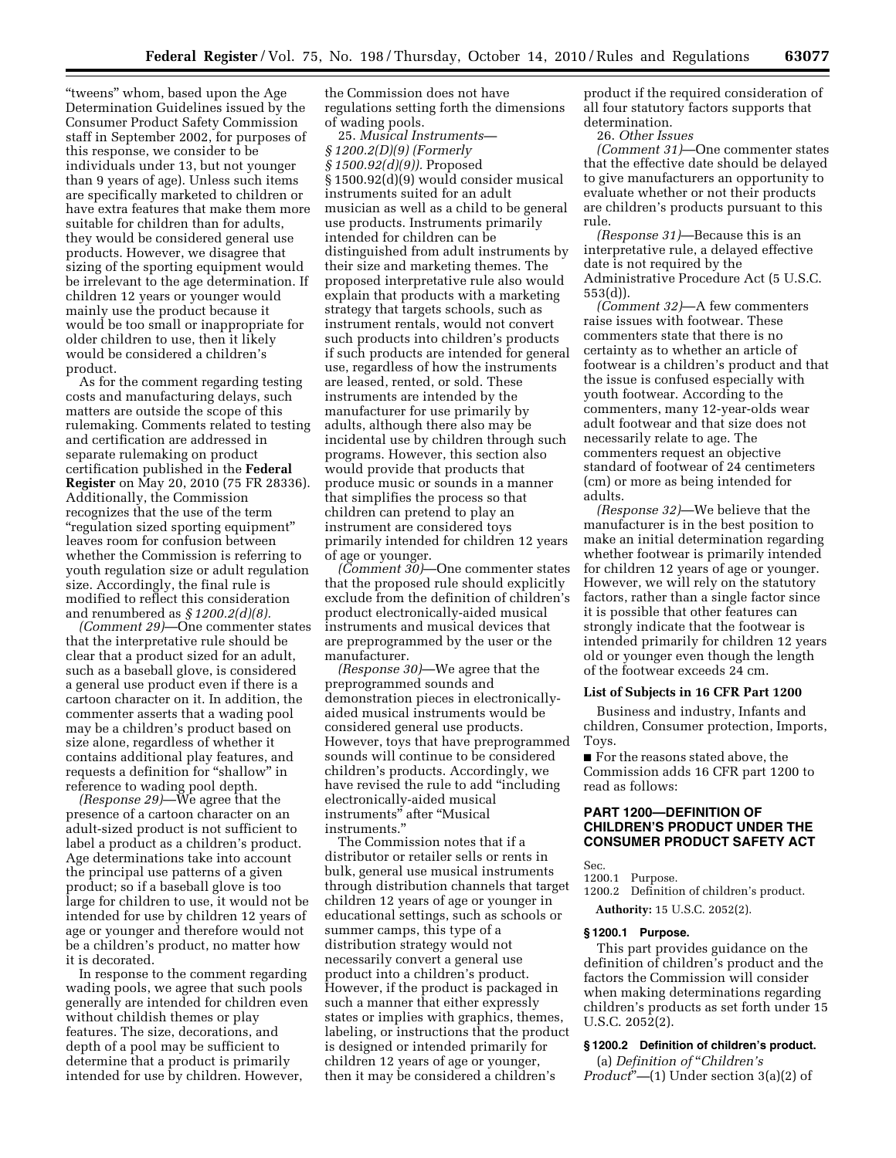''tweens'' whom, based upon the Age Determination Guidelines issued by the Consumer Product Safety Commission staff in September 2002, for purposes of this response, we consider to be individuals under 13, but not younger than 9 years of age). Unless such items are specifically marketed to children or have extra features that make them more suitable for children than for adults, they would be considered general use products. However, we disagree that sizing of the sporting equipment would be irrelevant to the age determination. If children 12 years or younger would mainly use the product because it would be too small or inappropriate for older children to use, then it likely would be considered a children's product.

As for the comment regarding testing costs and manufacturing delays, such matters are outside the scope of this rulemaking. Comments related to testing and certification are addressed in separate rulemaking on product certification published in the **Federal Register** on May 20, 2010 (75 FR 28336). Additionally, the Commission recognizes that the use of the term ''regulation sized sporting equipment'' leaves room for confusion between whether the Commission is referring to youth regulation size or adult regulation size. Accordingly, the final rule is modified to reflect this consideration and renumbered as *§ 1200.2(d)(8).* 

*(Comment 29)*—One commenter states that the interpretative rule should be clear that a product sized for an adult, such as a baseball glove, is considered a general use product even if there is a cartoon character on it. In addition, the commenter asserts that a wading pool may be a children's product based on size alone, regardless of whether it contains additional play features, and requests a definition for "shallow" in reference to wading pool depth.

*(Response 29)*—We agree that the presence of a cartoon character on an adult-sized product is not sufficient to label a product as a children's product. Age determinations take into account the principal use patterns of a given product; so if a baseball glove is too large for children to use, it would not be intended for use by children 12 years of age or younger and therefore would not be a children's product, no matter how it is decorated.

In response to the comment regarding wading pools, we agree that such pools generally are intended for children even without childish themes or play features. The size, decorations, and depth of a pool may be sufficient to determine that a product is primarily intended for use by children. However,

the Commission does not have regulations setting forth the dimensions of wading pools.

25. *Musical Instruments— § 1200.2(D)(9) (Formerly § 1500.92(d)(9)).* Proposed § 1500.92(d)(9) would consider musical instruments suited for an adult musician as well as a child to be general use products. Instruments primarily intended for children can be distinguished from adult instruments by their size and marketing themes. The proposed interpretative rule also would explain that products with a marketing strategy that targets schools, such as instrument rentals, would not convert such products into children's products if such products are intended for general use, regardless of how the instruments are leased, rented, or sold. These instruments are intended by the manufacturer for use primarily by adults, although there also may be incidental use by children through such programs. However, this section also would provide that products that produce music or sounds in a manner that simplifies the process so that children can pretend to play an instrument are considered toys primarily intended for children 12 years of age or younger.

*(Comment 30)*—One commenter states that the proposed rule should explicitly exclude from the definition of children's product electronically-aided musical instruments and musical devices that are preprogrammed by the user or the manufacturer.

*(Response 30)*—We agree that the preprogrammed sounds and demonstration pieces in electronicallyaided musical instruments would be considered general use products. However, toys that have preprogrammed sounds will continue to be considered children's products. Accordingly, we have revised the rule to add ''including electronically-aided musical instruments'' after ''Musical instruments.''

The Commission notes that if a distributor or retailer sells or rents in bulk, general use musical instruments through distribution channels that target children 12 years of age or younger in educational settings, such as schools or summer camps, this type of a distribution strategy would not necessarily convert a general use product into a children's product. However, if the product is packaged in such a manner that either expressly states or implies with graphics, themes, labeling, or instructions that the product is designed or intended primarily for children 12 years of age or younger, then it may be considered a children's

product if the required consideration of all four statutory factors supports that determination.

26. *Other Issues* 

*(Comment 31)*—One commenter states that the effective date should be delayed to give manufacturers an opportunity to evaluate whether or not their products are children's products pursuant to this rule.

*(Response 31)*—Because this is an interpretative rule, a delayed effective date is not required by the Administrative Procedure Act (5 U.S.C. 553(d)).

*(Comment 32)*—A few commenters raise issues with footwear. These commenters state that there is no certainty as to whether an article of footwear is a children's product and that the issue is confused especially with youth footwear. According to the commenters, many 12-year-olds wear adult footwear and that size does not necessarily relate to age. The commenters request an objective standard of footwear of 24 centimeters (cm) or more as being intended for adults.

*(Response 32)*—We believe that the manufacturer is in the best position to make an initial determination regarding whether footwear is primarily intended for children 12 years of age or younger. However, we will rely on the statutory factors, rather than a single factor since it is possible that other features can strongly indicate that the footwear is intended primarily for children 12 years old or younger even though the length of the footwear exceeds 24 cm.

#### **List of Subjects in 16 CFR Part 1200**

Business and industry, Infants and children, Consumer protection, Imports, Toys.

■ For the reasons stated above, the Commission adds 16 CFR part 1200 to read as follows:

## **PART 1200—DEFINITION OF CHILDREN'S PRODUCT UNDER THE CONSUMER PRODUCT SAFETY ACT**

- Sec.
- 1200.1 Purpose.

1200.2 Definition of children's product.

# **Authority:** 15 U.S.C. 2052(2).

# **§ 1200.1 Purpose.**

This part provides guidance on the definition of children's product and the factors the Commission will consider when making determinations regarding children's products as set forth under 15 U.S.C. 2052(2).

## **§ 1200.2 Definition of children's product.**

(a) *Definition of* ''*Children's Product*''*—*(1) Under section 3(a)(2) of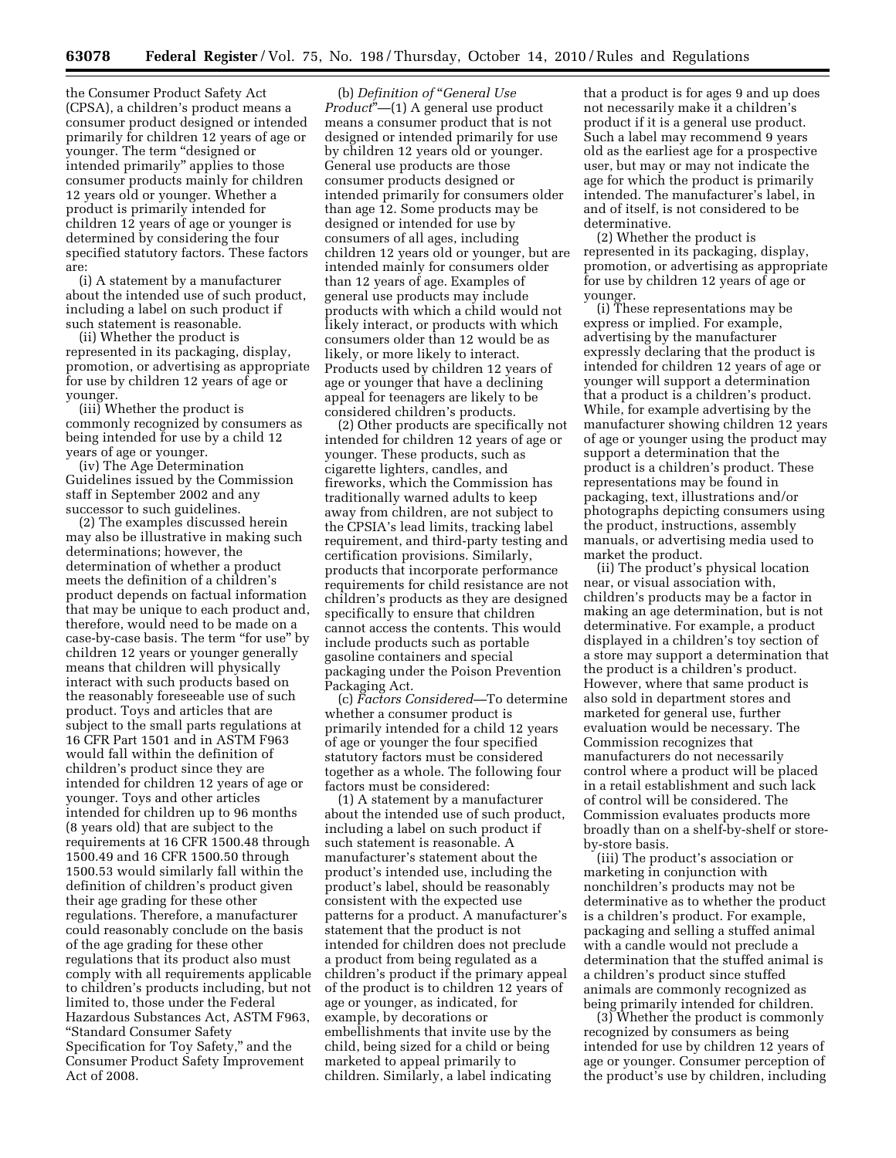the Consumer Product Safety Act (CPSA), a children's product means a consumer product designed or intended primarily for children 12 years of age or younger. The term "designed or intended primarily'' applies to those consumer products mainly for children 12 years old or younger. Whether a product is primarily intended for children 12 years of age or younger is determined by considering the four specified statutory factors. These factors are:

(i) A statement by a manufacturer about the intended use of such product, including a label on such product if such statement is reasonable.

(ii) Whether the product is represented in its packaging, display, promotion, or advertising as appropriate for use by children 12 years of age or younger.

(iii) Whether the product is commonly recognized by consumers as being intended for use by a child 12 years of age or younger.

(iv) The Age Determination Guidelines issued by the Commission staff in September 2002 and any successor to such guidelines.

(2) The examples discussed herein may also be illustrative in making such determinations; however, the determination of whether a product meets the definition of a children's product depends on factual information that may be unique to each product and, therefore, would need to be made on a case-by-case basis. The term "for use" by children 12 years or younger generally means that children will physically interact with such products based on the reasonably foreseeable use of such product. Toys and articles that are subject to the small parts regulations at 16 CFR Part 1501 and in ASTM F963 would fall within the definition of children's product since they are intended for children 12 years of age or younger. Toys and other articles intended for children up to 96 months (8 years old) that are subject to the requirements at 16 CFR 1500.48 through 1500.49 and 16 CFR 1500.50 through 1500.53 would similarly fall within the definition of children's product given their age grading for these other regulations. Therefore, a manufacturer could reasonably conclude on the basis of the age grading for these other regulations that its product also must comply with all requirements applicable to children's products including, but not limited to, those under the Federal Hazardous Substances Act, ASTM F963, ''Standard Consumer Safety Specification for Toy Safety," and the Consumer Product Safety Improvement Act of 2008.

(b) *Definition of* ''*General Use Product*"—(1) A general use product means a consumer product that is not designed or intended primarily for use by children 12 years old or younger. General use products are those consumer products designed or intended primarily for consumers older than age 12. Some products may be designed or intended for use by consumers of all ages, including children 12 years old or younger, but are intended mainly for consumers older than 12 years of age. Examples of general use products may include products with which a child would not likely interact, or products with which consumers older than 12 would be as likely, or more likely to interact. Products used by children 12 years of age or younger that have a declining appeal for teenagers are likely to be considered children's products.

(2) Other products are specifically not intended for children 12 years of age or younger. These products, such as cigarette lighters, candles, and fireworks, which the Commission has traditionally warned adults to keep away from children, are not subject to the CPSIA's lead limits, tracking label requirement, and third-party testing and certification provisions. Similarly, products that incorporate performance requirements for child resistance are not children's products as they are designed specifically to ensure that children cannot access the contents. This would include products such as portable gasoline containers and special packaging under the Poison Prevention Packaging Act.

(c) *Factors Considered—*To determine whether a consumer product is primarily intended for a child 12 years of age or younger the four specified statutory factors must be considered together as a whole. The following four factors must be considered:

(1) A statement by a manufacturer about the intended use of such product, including a label on such product if such statement is reasonable. A manufacturer's statement about the product's intended use, including the product's label, should be reasonably consistent with the expected use patterns for a product. A manufacturer's statement that the product is not intended for children does not preclude a product from being regulated as a children's product if the primary appeal of the product is to children 12 years of age or younger, as indicated, for example, by decorations or embellishments that invite use by the child, being sized for a child or being marketed to appeal primarily to children. Similarly, a label indicating

that a product is for ages 9 and up does not necessarily make it a children's product if it is a general use product. Such a label may recommend 9 years old as the earliest age for a prospective user, but may or may not indicate the age for which the product is primarily intended. The manufacturer's label, in and of itself, is not considered to be determinative.

(2) Whether the product is represented in its packaging, display, promotion, or advertising as appropriate for use by children 12 years of age or younger.

(i) These representations may be express or implied. For example, advertising by the manufacturer expressly declaring that the product is intended for children 12 years of age or younger will support a determination that a product is a children's product. While, for example advertising by the manufacturer showing children 12 years of age or younger using the product may support a determination that the product is a children's product. These representations may be found in packaging, text, illustrations and/or photographs depicting consumers using the product, instructions, assembly manuals, or advertising media used to market the product.

(ii) The product's physical location near, or visual association with, children's products may be a factor in making an age determination, but is not determinative. For example, a product displayed in a children's toy section of a store may support a determination that the product is a children's product. However, where that same product is also sold in department stores and marketed for general use, further evaluation would be necessary. The Commission recognizes that manufacturers do not necessarily control where a product will be placed in a retail establishment and such lack of control will be considered. The Commission evaluates products more broadly than on a shelf-by-shelf or storeby-store basis.

(iii) The product's association or marketing in conjunction with nonchildren's products may not be determinative as to whether the product is a children's product. For example, packaging and selling a stuffed animal with a candle would not preclude a determination that the stuffed animal is a children's product since stuffed animals are commonly recognized as being primarily intended for children.

(3) Whether the product is commonly recognized by consumers as being intended for use by children 12 years of age or younger. Consumer perception of the product's use by children, including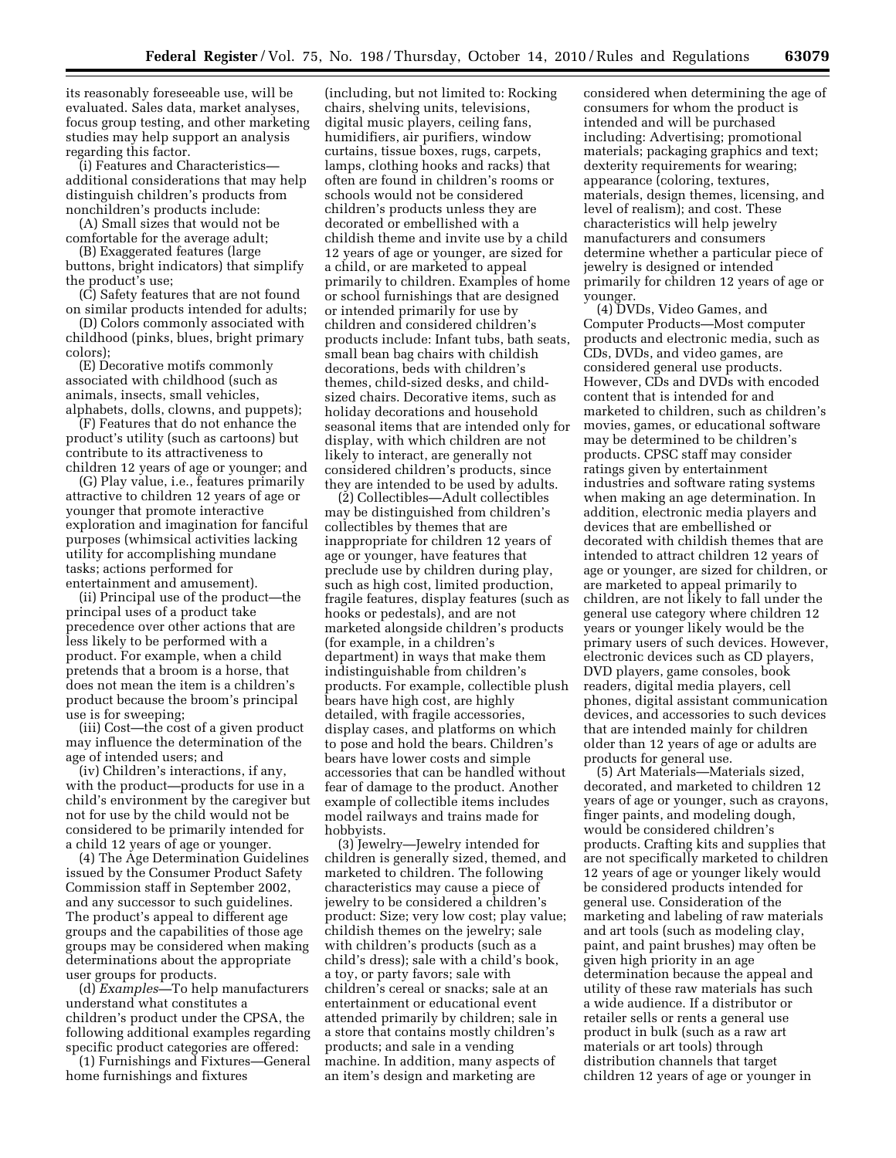its reasonably foreseeable use, will be evaluated. Sales data, market analyses, focus group testing, and other marketing studies may help support an analysis regarding this factor.

(i) Features and Characteristics additional considerations that may help distinguish children's products from nonchildren's products include:

(A) Small sizes that would not be comfortable for the average adult;

(B) Exaggerated features (large buttons, bright indicators) that simplify the product's use;

(C) Safety features that are not found on similar products intended for adults;

(D) Colors commonly associated with childhood (pinks, blues, bright primary colors);

(E) Decorative motifs commonly associated with childhood (such as animals, insects, small vehicles, alphabets, dolls, clowns, and puppets);

(F) Features that do not enhance the product's utility (such as cartoons) but contribute to its attractiveness to children 12 years of age or younger; and

(G) Play value, i.e., features primarily attractive to children 12 years of age or younger that promote interactive exploration and imagination for fanciful purposes (whimsical activities lacking utility for accomplishing mundane tasks; actions performed for entertainment and amusement).

(ii) Principal use of the product—the principal uses of a product take precedence over other actions that are less likely to be performed with a product. For example, when a child pretends that a broom is a horse, that does not mean the item is a children's product because the broom's principal use is for sweeping;

(iii) Cost—the cost of a given product may influence the determination of the age of intended users; and

(iv) Children's interactions, if any, with the product*—*products for use in a child's environment by the caregiver but not for use by the child would not be considered to be primarily intended for a child 12 years of age or younger.

(4) The Age Determination Guidelines issued by the Consumer Product Safety Commission staff in September 2002, and any successor to such guidelines. The product's appeal to different age groups and the capabilities of those age groups may be considered when making determinations about the appropriate user groups for products.

(d) *Examples—*To help manufacturers understand what constitutes a children's product under the CPSA, the following additional examples regarding specific product categories are offered:

(1) Furnishings and Fixtures—General home furnishings and fixtures

(including, but not limited to: Rocking chairs, shelving units, televisions, digital music players, ceiling fans, humidifiers, air purifiers, window curtains, tissue boxes, rugs, carpets, lamps, clothing hooks and racks) that often are found in children's rooms or schools would not be considered children's products unless they are decorated or embellished with a childish theme and invite use by a child 12 years of age or younger, are sized for a child, or are marketed to appeal primarily to children. Examples of home or school furnishings that are designed or intended primarily for use by children and considered children's products include: Infant tubs, bath seats, small bean bag chairs with childish decorations, beds with children's themes, child-sized desks, and childsized chairs. Decorative items, such as holiday decorations and household seasonal items that are intended only for display, with which children are not likely to interact, are generally not considered children's products, since they are intended to be used by adults.

(2) Collectibles—Adult collectibles may be distinguished from children's collectibles by themes that are inappropriate for children 12 years of age or younger, have features that preclude use by children during play, such as high cost, limited production, fragile features, display features (such as hooks or pedestals), and are not marketed alongside children's products (for example, in a children's department) in ways that make them indistinguishable from children's products. For example, collectible plush bears have high cost, are highly detailed, with fragile accessories, display cases, and platforms on which to pose and hold the bears. Children's bears have lower costs and simple accessories that can be handled without fear of damage to the product. Another example of collectible items includes model railways and trains made for hobbyists.

(3) Jewelry—Jewelry intended for children is generally sized, themed, and marketed to children. The following characteristics may cause a piece of jewelry to be considered a children's product: Size; very low cost; play value; childish themes on the jewelry; sale with children's products (such as a child's dress); sale with a child's book, a toy, or party favors; sale with children's cereal or snacks; sale at an entertainment or educational event attended primarily by children; sale in a store that contains mostly children's products; and sale in a vending machine. In addition, many aspects of an item's design and marketing are

considered when determining the age of consumers for whom the product is intended and will be purchased including: Advertising; promotional materials; packaging graphics and text; dexterity requirements for wearing; appearance (coloring, textures, materials, design themes, licensing, and level of realism); and cost. These characteristics will help jewelry manufacturers and consumers determine whether a particular piece of jewelry is designed or intended primarily for children 12 years of age or younger.

(4) DVDs, Video Games, and Computer Products—Most computer products and electronic media, such as CDs, DVDs, and video games, are considered general use products. However, CDs and DVDs with encoded content that is intended for and marketed to children, such as children's movies, games, or educational software may be determined to be children's products. CPSC staff may consider ratings given by entertainment industries and software rating systems when making an age determination. In addition, electronic media players and devices that are embellished or decorated with childish themes that are intended to attract children 12 years of age or younger, are sized for children, or are marketed to appeal primarily to children, are not likely to fall under the general use category where children 12 years or younger likely would be the primary users of such devices. However, electronic devices such as CD players, DVD players, game consoles, book readers, digital media players, cell phones, digital assistant communication devices, and accessories to such devices that are intended mainly for children older than 12 years of age or adults are products for general use.

(5) Art Materials—Materials sized, decorated, and marketed to children 12 years of age or younger, such as crayons, finger paints, and modeling dough, would be considered children's products. Crafting kits and supplies that are not specifically marketed to children 12 years of age or younger likely would be considered products intended for general use. Consideration of the marketing and labeling of raw materials and art tools (such as modeling clay, paint, and paint brushes) may often be given high priority in an age determination because the appeal and utility of these raw materials has such a wide audience. If a distributor or retailer sells or rents a general use product in bulk (such as a raw art materials or art tools) through distribution channels that target children 12 years of age or younger in